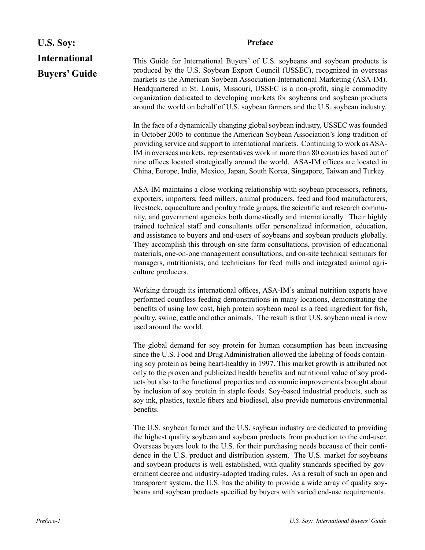## **U.S. Soy: International Buyers' Guide**

### **Preface**

This Guide for International Buyers' of U.S. soybeans and soybean products is produced by the U.S. Soybean Export Council (USSEC), recognized in overseas markets as the American Soybean Association-International Marketing (ASA-IM). Headquartered in St. Louis, Missouri, USSEC is a non-profit, single commodity organization dedicated to developing markets for soybeans and soybean products around the world on behalf of U.S. soybean farmers and the U.S. soybean industry.

In the face of a dynamically changing global soybean industry, USSEC was founded in October 2005 to continue the American Soybean Association's long tradition of providing service and support to international markets. Continuing to work as ASA-IM in overseas markets, representatives work in more than 80 countries based out of nine offices located strategically around the world. ASA-IM offices are located in China, Europe, India, Mexico, Japan, South Korea, Singapore, Taiwan and Turkey.

ASA-IM maintains a close working relationship with soybean processors, refiners, exporters, importers, feed millers, animal producers, feed and food manufacturers, livestock, aquaculture and poultry trade groups, the scientific and research community, and government agencies both domestically and internationally. Their highly trained technical staff and consultants offer personalized information, education, and assistance to buyers and end-users of soybeans and soybean products globally. They accomplish this through on-site farm consultations, provision of educational materials, one-on-one management consultations, and on-site technical seminars for managers, nutritionists, and technicians for feed mills and integrated animal agriculture producers.

Working through its international offices, ASA-IM's animal nutrition experts have performed countless feeding demonstrations in many locations, demonstrating the benefits of using low cost, high protein soybean meal as a feed ingredient for fish, poultry, swine, cattle and other animals. The result is that U.S. soybean meal is now used around the world.

The global demand for soy protein for human consumption has been increasing since the U.S. Food and Drug Administration allowed the labeling of foods containing soy protein as being heart-healthy in 1997. This market growth is attributed not only to the proven and publicized health benefits and nutritional value of soy products but also to the functional properties and economic improvements brought about by inclusion of soy protein in staple foods. Soy-based industrial products, such as soy ink, plastics, textile fibers and biodiesel, also provide numerous environmental benefits.

The U.S. soybean farmer and the U.S. soybean industry are dedicated to providing the highest quality soybean and soybean products from production to the end-user. Overseas buyers look to the U.S. for their purchasing needs because of their confidence in the U.S. product and distribution system. The U.S. market for soybeans and soybean products is well established, with quality standards specified by government decree and industry-adopted trading rules. As a result of such an open and transparent system, the U.S. has the ability to provide a wide array of quality soybeans and soybean products specified by buyers with varied end-use requirements.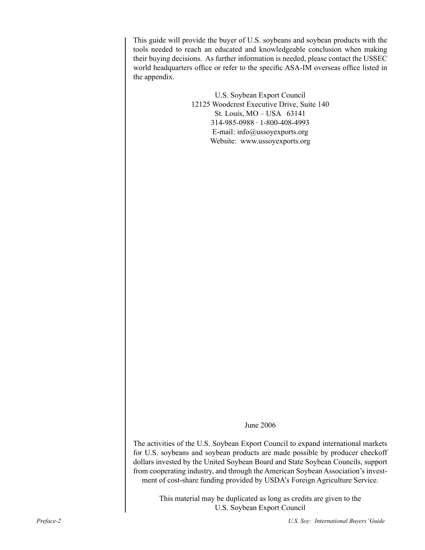This guide will provide the buyer of U.S. soybeans and soybean products with the tools needed to reach an educated and knowledgeable conclusion when making their buying decisions. As further information is needed, please contact the USSEC world headquarters office or refer to the specific ASA-IM overseas office listed in the appendix.

> U.S. Soybean Export Council 12125 Woodcrest Executive Drive, Suite 140 St. Louis, MO – USA 63141 314-985-0988 ∙ 1-800-408-4993 E-mail: info@ussoyexports.org Website: www.ussoyexports.org

> > June 2006

The activities of the U.S. Soybean Export Council to expand international markets for U.S. soybeans and soybean products are made possible by producer checkoff dollars invested by the United Soybean Board and State Soybean Councils, support from cooperating industry, and through the American Soybean Association's investment of cost-share funding provided by USDA's Foreign Agriculture Service.

> This material may be duplicated as long as credits are given to the U.S. Soybean Export Council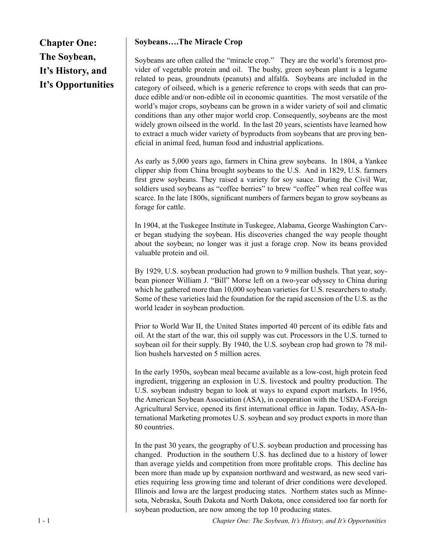**Chapter One: The Soybean, It's History, and It's Opportunities**

## **Soybeans….The Miracle Crop**

Soybeans are often called the "miracle crop." They are the world's foremost provider of vegetable protein and oil. The bushy, green soybean plant is a legume related to peas, groundnuts (peanuts) and alfalfa. Soybeans are included in the category of oilseed, which is a generic reference to crops with seeds that can produce edible and/or non-edible oil in economic quantities. The most versatile of the world's major crops, soybeans can be grown in a wider variety of soil and climatic conditions than any other major world crop. Consequently, soybeans are the most widely grown oilseed in the world. In the last 20 years, scientists have learned how to extract a much wider variety of byproducts from soybeans that are proving beneficial in animal feed, human food and industrial applications.

As early as 5,000 years ago, farmers in China grew soybeans. In 1804, a Yankee clipper ship from China brought soybeans to the U.S. And in 1829, U.S. farmers first grew soybeans. They raised a variety for soy sauce. During the Civil War, soldiers used soybeans as "coffee berries" to brew "coffee" when real coffee was scarce. In the late 1800s, significant numbers of farmers began to grow soybeans as forage for cattle.

In 1904, at the Tuskegee Institute in Tuskegee, Alabama, George Washington Carver began studying the soybean. His discoveries changed the way people thought about the soybean; no longer was it just a forage crop. Now its beans provided valuable protein and oil.

By 1929, U.S. soybean production had grown to 9 million bushels. That year, soybean pioneer William J. "Bill" Morse left on a two-year odyssey to China during which he gathered more than 10,000 soybean varieties for U.S. researchers to study. Some of these varieties laid the foundation for the rapid ascension of the U.S. as the world leader in soybean production.

Prior to World War II, the United States imported 40 percent of its edible fats and oil. At the start of the war, this oil supply was cut. Processors in the U.S. turned to soybean oil for their supply. By 1940, the U.S. soybean crop had grown to 78 million bushels harvested on 5 million acres.

In the early 1950s, soybean meal became available as a low-cost, high protein feed ingredient, triggering an explosion in U.S. livestock and poultry production. The U.S. soybean industry began to look at ways to expand export markets. In 1956, the American Soybean Association (ASA), in cooperation with the USDA-Foreign Agricultural Service, opened its first international office in Japan. Today, ASA-International Marketing promotes U.S. soybean and soy product exports in more than 80 countries.

In the past 30 years, the geography of U.S. soybean production and processing has changed. Production in the southern U.S. has declined due to a history of lower than average yields and competition from more profitable crops. This decline has been more than made up by expansion northward and westward, as new seed varieties requiring less growing time and tolerant of drier conditions were developed. Illinois and Iowa are the largest producing states. Northern states such as Minnesota, Nebraska, South Dakota and North Dakota, once considered too far north for soybean production, are now among the top 10 producing states.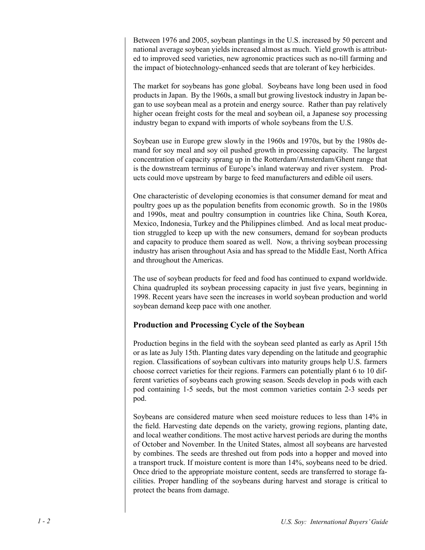Between 1976 and 2005, soybean plantings in the U.S. increased by 50 percent and national average soybean yields increased almost as much. Yield growth is attributed to improved seed varieties, new agronomic practices such as no-till farming and the impact of biotechnology-enhanced seeds that are tolerant of key herbicides.

The market for soybeans has gone global. Soybeans have long been used in food products in Japan. By the 1960s, a small but growing livestock industry in Japan began to use soybean meal as a protein and energy source. Rather than pay relatively higher ocean freight costs for the meal and soybean oil, a Japanese soy processing industry began to expand with imports of whole soybeans from the U.S.

Soybean use in Europe grew slowly in the 1960s and 1970s, but by the 1980s demand for soy meal and soy oil pushed growth in processing capacity. The largest concentration of capacity sprang up in the Rotterdam/Amsterdam/Ghent range that is the downstream terminus of Europe's inland waterway and river system. Products could move upstream by barge to feed manufacturers and edible oil users.

One characteristic of developing economies is that consumer demand for meat and poultry goes up as the population benefits from economic growth. So in the 1980s and 1990s, meat and poultry consumption in countries like China, South Korea, Mexico, Indonesia, Turkey and the Philippines climbed. And as local meat production struggled to keep up with the new consumers, demand for soybean products and capacity to produce them soared as well. Now, a thriving soybean processing industry has arisen throughout Asia and has spread to the Middle East, North Africa and throughout the Americas.

The use of soybean products for feed and food has continued to expand worldwide. China quadrupled its soybean processing capacity in just five years, beginning in 1998. Recent years have seen the increases in world soybean production and world soybean demand keep pace with one another.

## **Production and Processing Cycle of the Soybean**

Production begins in the field with the soybean seed planted as early as April 15th or as late as July 15th. Planting dates vary depending on the latitude and geographic region. Classifications of soybean cultivars into maturity groups help U.S. farmers choose correct varieties for their regions. Farmers can potentially plant 6 to 10 different varieties of soybeans each growing season. Seeds develop in pods with each pod containing 1-5 seeds, but the most common varieties contain 2-3 seeds per pod.

Soybeans are considered mature when seed moisture reduces to less than 14% in the field. Harvesting date depends on the variety, growing regions, planting date, and local weather conditions. The most active harvest periods are during the months of October and November. In the United States, almost all soybeans are harvested by combines. The seeds are threshed out from pods into a hopper and moved into a transport truck. If moisture content is more than 14%, soybeans need to be dried. Once dried to the appropriate moisture content, seeds are transferred to storage facilities. Proper handling of the soybeans during harvest and storage is critical to protect the beans from damage.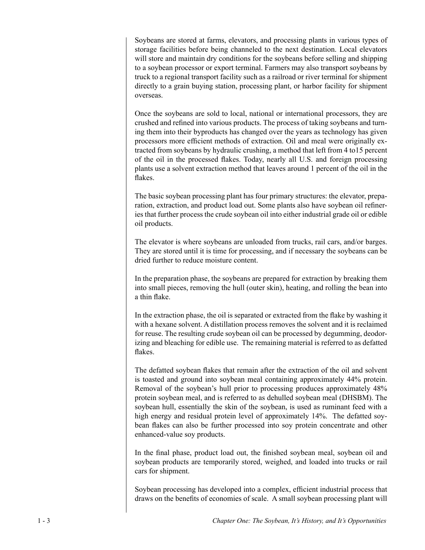Soybeans are stored at farms, elevators, and processing plants in various types of storage facilities before being channeled to the next destination. Local elevators will store and maintain dry conditions for the soybeans before selling and shipping to a soybean processor or export terminal. Farmers may also transport soybeans by truck to a regional transport facility such as a railroad or river terminal for shipment directly to a grain buying station, processing plant, or harbor facility for shipment overseas.

Once the soybeans are sold to local, national or international processors, they are crushed and refined into various products. The process of taking soybeans and turning them into their byproducts has changed over the years as technology has given processors more efficient methods of extraction. Oil and meal were originally extracted from soybeans by hydraulic crushing, a method that left from 4 to15 percent of the oil in the processed flakes. Today, nearly all U.S. and foreign processing plants use a solvent extraction method that leaves around 1 percent of the oil in the flakes.

The basic soybean processing plant has four primary structures: the elevator, preparation, extraction, and product load out. Some plants also have soybean oil refineries that further process the crude soybean oil into either industrial grade oil or edible oil products.

The elevator is where soybeans are unloaded from trucks, rail cars, and/or barges. They are stored until it is time for processing, and if necessary the soybeans can be dried further to reduce moisture content.

In the preparation phase, the soybeans are prepared for extraction by breaking them into small pieces, removing the hull (outer skin), heating, and rolling the bean into a thin flake.

In the extraction phase, the oil is separated or extracted from the flake by washing it with a hexane solvent. A distillation process removes the solvent and it is reclaimed for reuse. The resulting crude soybean oil can be processed by degumming, deodorizing and bleaching for edible use. The remaining material is referred to as defatted flakes.

The defatted soybean flakes that remain after the extraction of the oil and solvent is toasted and ground into soybean meal containing approximately 44% protein. Removal of the soybean's hull prior to processing produces approximately 48% protein soybean meal, and is referred to as dehulled soybean meal (DHSBM). The soybean hull, essentially the skin of the soybean, is used as ruminant feed with a high energy and residual protein level of approximately 14%. The defatted soybean flakes can also be further processed into soy protein concentrate and other enhanced-value soy products.

In the final phase, product load out, the finished soybean meal, soybean oil and soybean products are temporarily stored, weighed, and loaded into trucks or rail cars for shipment.

Soybean processing has developed into a complex, efficient industrial process that draws on the benefits of economies of scale. A small soybean processing plant will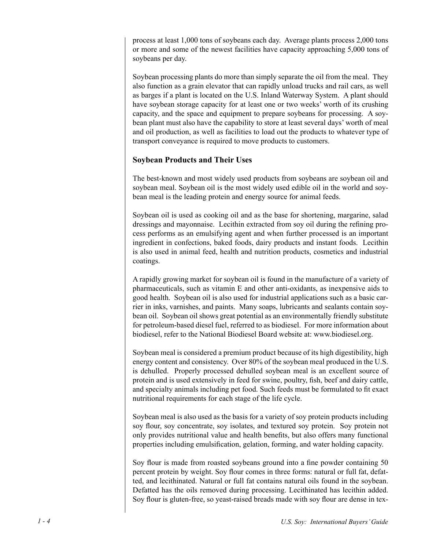process at least 1,000 tons of soybeans each day. Average plants process 2,000 tons or more and some of the newest facilities have capacity approaching 5,000 tons of soybeans per day.

Soybean processing plants do more than simply separate the oil from the meal. They also function as a grain elevator that can rapidly unload trucks and rail cars, as well as barges if a plant is located on the U.S. Inland Waterway System. A plant should have soybean storage capacity for at least one or two weeks' worth of its crushing capacity, and the space and equipment to prepare soybeans for processing. A soybean plant must also have the capability to store at least several days' worth of meal and oil production, as well as facilities to load out the products to whatever type of transport conveyance is required to move products to customers.

## **Soybean Products and Their Uses**

The best-known and most widely used products from soybeans are soybean oil and soybean meal. Soybean oil is the most widely used edible oil in the world and soybean meal is the leading protein and energy source for animal feeds.

Soybean oil is used as cooking oil and as the base for shortening, margarine, salad dressings and mayonnaise. Lecithin extracted from soy oil during the refining process performs as an emulsifying agent and when further processed is an important ingredient in confections, baked foods, dairy products and instant foods. Lecithin is also used in animal feed, health and nutrition products, cosmetics and industrial coatings.

A rapidly growing market for soybean oil is found in the manufacture of a variety of pharmaceuticals, such as vitamin E and other anti-oxidants, as inexpensive aids to good health. Soybean oil is also used for industrial applications such as a basic carrier in inks, varnishes, and paints. Many soaps, lubricants and sealants contain soybean oil. Soybean oil shows great potential as an environmentally friendly substitute for petroleum-based diesel fuel, referred to as biodiesel. For more information about biodiesel, refer to the National Biodiesel Board website at: www.biodiesel.org.

Soybean meal is considered a premium product because of its high digestibility, high energy content and consistency. Over 80% of the soybean meal produced in the U.S. is dehulled. Properly processed dehulled soybean meal is an excellent source of protein and is used extensively in feed for swine, poultry, fish, beef and dairy cattle, and specialty animals including pet food. Such feeds must be formulated to fit exact nutritional requirements for each stage of the life cycle.

Soybean meal is also used as the basis for a variety of soy protein products including soy flour, soy concentrate, soy isolates, and textured soy protein. Soy protein not only provides nutritional value and health benefits, but also offers many functional properties including emulsification, gelation, forming, and water holding capacity.

Soy flour is made from roasted soybeans ground into a fine powder containing 50 percent protein by weight. Soy flour comes in three forms: natural or full fat, defatted, and lecithinated. Natural or full fat contains natural oils found in the soybean. Defatted has the oils removed during processing. Lecithinated has lecithin added. Soy flour is gluten-free, so yeast-raised breads made with soy flour are dense in tex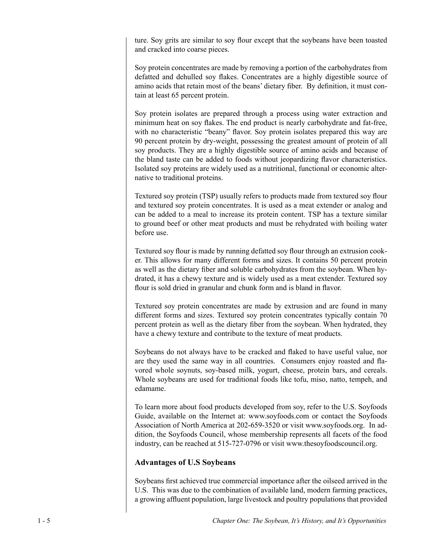ture. Soy grits are similar to soy flour except that the soybeans have been toasted and cracked into coarse pieces.

Soy protein concentrates are made by removing a portion of the carbohydrates from defatted and dehulled soy flakes. Concentrates are a highly digestible source of amino acids that retain most of the beans' dietary fiber. By definition, it must contain at least 65 percent protein.

Soy protein isolates are prepared through a process using water extraction and minimum heat on soy flakes. The end product is nearly carbohydrate and fat-free, with no characteristic "beany" flavor. Soy protein isolates prepared this way are 90 percent protein by dry-weight, possessing the greatest amount of protein of all soy products. They are a highly digestible source of amino acids and because of the bland taste can be added to foods without jeopardizing flavor characteristics. Isolated soy proteins are widely used as a nutritional, functional or economic alternative to traditional proteins.

Textured soy protein (TSP) usually refers to products made from textured soy flour and textured soy protein concentrates. It is used as a meat extender or analog and can be added to a meal to increase its protein content. TSP has a texture similar to ground beef or other meat products and must be rehydrated with boiling water before use.

Textured soy flour is made by running defatted soy flour through an extrusion cooker. This allows for many different forms and sizes. It contains 50 percent protein as well as the dietary fiber and soluble carbohydrates from the soybean. When hydrated, it has a chewy texture and is widely used as a meat extender. Textured soy flour is sold dried in granular and chunk form and is bland in flavor.

Textured soy protein concentrates are made by extrusion and are found in many different forms and sizes. Textured soy protein concentrates typically contain 70 percent protein as well as the dietary fiber from the soybean. When hydrated, they have a chewy texture and contribute to the texture of meat products.

Soybeans do not always have to be cracked and flaked to have useful value, nor are they used the same way in all countries. Consumers enjoy roasted and flavored whole soynuts, soy-based milk, yogurt, cheese, protein bars, and cereals. Whole soybeans are used for traditional foods like tofu, miso, natto, tempeh, and edamame.

To learn more about food products developed from soy, refer to the U.S. Soyfoods Guide, available on the Internet at: www.soyfoods.com or contact the Soyfoods Association of North America at 202-659-3520 or visit www.soyfoods.org. In addition, the Soyfoods Council, whose membership represents all facets of the food industry, can be reached at 515-727-0796 or visit www.thesoyfoodscouncil.org.

## **Advantages of U.S Soybeans**

Soybeans first achieved true commercial importance after the oilseed arrived in the U.S. This was due to the combination of available land, modern farming practices, a growing affluent population, large livestock and poultry populations that provided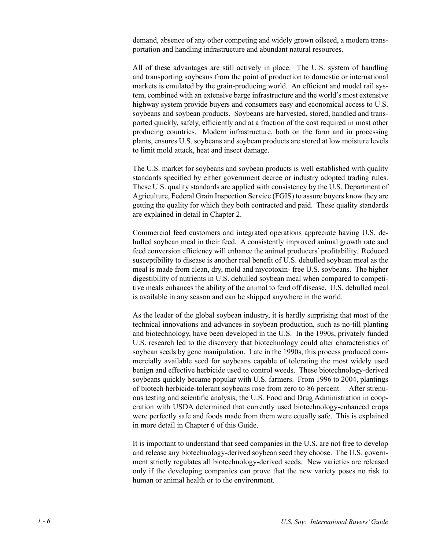demand, absence of any other competing and widely grown oilseed, a modern transportation and handling infrastructure and abundant natural resources.

All of these advantages are still actively in place. The U.S. system of handling and transporting soybeans from the point of production to domestic or international markets is emulated by the grain-producing world. An efficient and model rail system, combined with an extensive barge infrastructure and the world's most extensive highway system provide buyers and consumers easy and economical access to U.S. soybeans and soybean products. Soybeans are harvested, stored, handled and transported quickly, safely, efficiently and at a fraction of the cost required in most other producing countries. Modern infrastructure, both on the farm and in processing plants, ensures U.S. soybeans and soybean products are stored at low moisture levels to limit mold attack, heat and insect damage.

The U.S. market for soybeans and soybean products is well established with quality standards specified by either government decree or industry adopted trading rules. These U.S. quality standards are applied with consistency by the U.S. Department of Agriculture, Federal Grain Inspection Service (FGIS) to assure buyers know they are getting the quality for which they both contracted and paid. These quality standards are explained in detail in Chapter 2.

Commercial feed customers and integrated operations appreciate having U.S. dehulled soybean meal in their feed. A consistently improved animal growth rate and feed conversion efficiency will enhance the animal producers' profitability. Reduced susceptibility to disease is another real benefit of U.S. dehulled soybean meal as the meal is made from clean, dry, mold and mycotoxin- free U.S. soybeans. The higher digestibility of nutrients in U.S. dehulled soybean meal when compared to competitive meals enhances the ability of the animal to fend off disease. U.S. dehulled meal is available in any season and can be shipped anywhere in the world.

As the leader of the global soybean industry, it is hardly surprising that most of the technical innovations and advances in soybean production, such as no-till planting and biotechnology, have been developed in the U.S. In the 1990s, privately funded U.S. research led to the discovery that biotechnology could alter characteristics of soybean seeds by gene manipulation. Late in the 1990s, this process produced commercially available seed for soybeans capable of tolerating the most widely used benign and effective herbicide used to control weeds. These biotechnology-derived soybeans quickly became popular with U.S. farmers. From 1996 to 2004, plantings of biotech herbicide-tolerant soybeans rose from zero to 86 percent. After strenuous testing and scientific analysis, the U.S. Food and Drug Administration in cooperation with USDA determined that currently used biotechnology-enhanced crops were perfectly safe and foods made from them were equally safe. This is explained in more detail in Chapter 6 of this Guide.

It is important to understand that seed companies in the U.S. are not free to develop and release any biotechnology-derived soybean seed they choose. The U.S. government strictly regulates all biotechnology-derived seeds. New varieties are released only if the developing companies can prove that the new variety poses no risk to human or animal health or to the environment.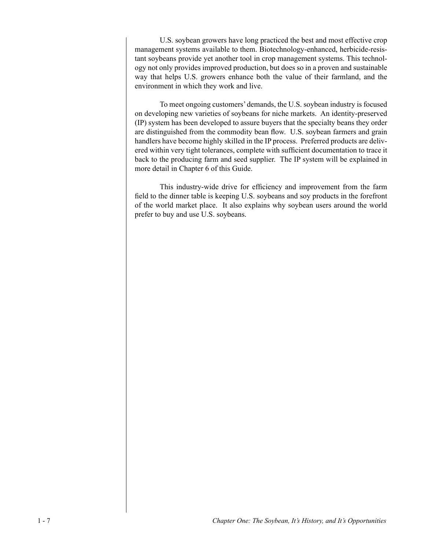U.S. soybean growers have long practiced the best and most effective crop management systems available to them. Biotechnology-enhanced, herbicide-resistant soybeans provide yet another tool in crop management systems. This technology not only provides improved production, but does so in a proven and sustainable way that helps U.S. growers enhance both the value of their farmland, and the environment in which they work and live.

To meet ongoing customers' demands, the U.S. soybean industry is focused on developing new varieties of soybeans for niche markets. An identity-preserved (IP) system has been developed to assure buyers that the specialty beans they order are distinguished from the commodity bean flow. U.S. soybean farmers and grain handlers have become highly skilled in the IP process. Preferred products are delivered within very tight tolerances, complete with sufficient documentation to trace it back to the producing farm and seed supplier. The IP system will be explained in more detail in Chapter 6 of this Guide.

This industry-wide drive for efficiency and improvement from the farm field to the dinner table is keeping U.S. soybeans and soy products in the forefront of the world market place. It also explains why soybean users around the world prefer to buy and use U.S. soybeans.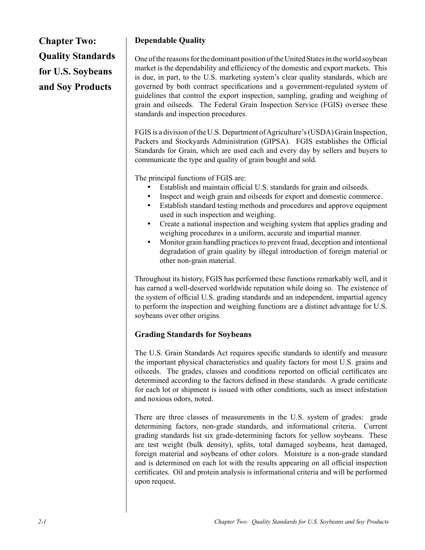**Chapter Two: Quality Standards for U.S. Soybeans and Soy Products**

## **Dependable Quality**

One of the reasons for the dominant position of the United States in the world soybean market is the dependability and efficiency of the domestic and export markets. This is due, in part, to the U.S. marketing system's clear quality standards, which are governed by both contract specifications and a government-regulated system of guidelines that control the export inspection, sampling, grading and weighing of grain and oilseeds. The Federal Grain Inspection Service (FGIS) oversee these standards and inspection procedures.

FGIS is a division of the U.S. Department of Agriculture's (USDA) Grain Inspection, Packers and Stockyards Administration (GIPSA). FGIS establishes the Official Standards for Grain, which are used each and every day by sellers and buyers to communicate the type and quality of grain bought and sold.

The principal functions of FGIS are:

- Establish and maintain official U.S. standards for grain and oilseeds.
- Inspect and weigh grain and oilseeds for export and domestic commerce.
- Establish standard testing methods and procedures and approve equipment used in such inspection and weighing.
- Create a national inspection and weighing system that applies grading and weighing procedures in a uniform, accurate and impartial manner.
- Monitor grain handling practices to prevent fraud, deception and intentional degradation of grain quality by illegal introduction of foreign material or other non-grain material.

Throughout its history, FGIS has performed these functions remarkably well, and it has earned a well-deserved worldwide reputation while doing so. The existence of the system of official U.S. grading standards and an independent, impartial agency to perform the inspection and weighing functions are a distinct advantage for U.S. soybeans over other origins.

## **Grading Standards for Soybeans**

The U.S. Grain Standards Act requires specific standards to identify and measure the important physical characteristics and quality factors for most U.S. grains and oilseeds. The grades, classes and conditions reported on official certificates are determined according to the factors defined in these standards. A grade certificate for each lot or shipment is issued with other conditions, such as insect infestation and noxious odors, noted.

There are three classes of measurements in the U.S. system of grades: grade determining factors, non-grade standards, and informational criteria. Current grading standards list six grade-determining factors for yellow soybeans. These are test weight (bulk density), splits, total damaged soybeans, heat damaged, foreign material and soybeans of other colors. Moisture is a non-grade standard and is determined on each lot with the results appearing on all official inspection certificates. Oil and protein analysis is informational criteria and will be performed upon request.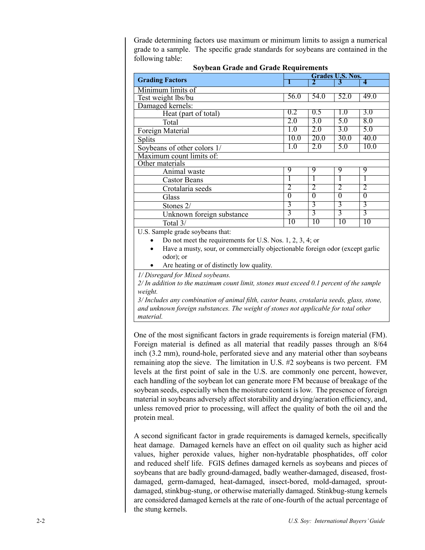Grade determining factors use maximum or minimum limits to assign a numerical grade to a sample. The specific grade standards for soybeans are contained in the following table:

| <b>Soybean Grade and Grade Requirements</b>                                                |                |                |                  |                     |
|--------------------------------------------------------------------------------------------|----------------|----------------|------------------|---------------------|
|                                                                                            |                |                | Grades U.S. Nos. |                     |
| <b>Grading Factors</b>                                                                     |                | $\overline{2}$ | 3                | $\overline{\bf{4}}$ |
| Minimum limits of                                                                          |                |                |                  |                     |
| Test weight lbs/bu                                                                         | 56.0           | 54.0           | 52.0             | 49.0                |
| Damaged kernels:                                                                           |                |                |                  |                     |
| Heat (part of total)                                                                       | 0.2            | 0.5            | 1.0              | 3.0                 |
| Total                                                                                      | 2.0            | 3.0            | 5.0              | 8.0                 |
| Foreign Material                                                                           | 1.0            | 2.0            | 3.0              | 5.0                 |
| <b>Splits</b>                                                                              | 10.0           | 20.0           | 30.0             | 40.0                |
| Soybeans of other colors 1/                                                                | 1.0            | 2.0            | 5.0              | 10.0                |
| Maximum count limits of:                                                                   |                |                |                  |                     |
| Other materials                                                                            |                |                |                  |                     |
| Animal waste                                                                               | 9              | 9              | 9                | 9                   |
| <b>Castor Beans</b>                                                                        |                | I.             | L                | I.                  |
| Crotalaria seeds                                                                           | 2              | 2              | 2                | 2                   |
| Glass                                                                                      | $\overline{0}$ | $\overline{0}$ | $\overline{0}$   | $\overline{0}$      |
| Stones 2/                                                                                  | 3              | 3              | 3                | 3                   |
| Unknown foreign substance                                                                  | $\overline{3}$ | 3              | $\overline{3}$   | $\overline{3}$      |
| Total 3/                                                                                   | 10             | 10             | 10               | 10                  |
| U.S. Sample grade soybeans that:                                                           |                |                |                  |                     |
| Do not meet the requirements for U.S. Nos. $1, 2, 3, 4$ ; or                               |                |                |                  |                     |
| Have a musty, sour, or commercially objectionable foreign odor (except garlic              |                |                |                  |                     |
| odor); or                                                                                  |                |                |                  |                     |
| Are heating or of distinctly low quality.                                                  |                |                |                  |                     |
| 1/ Disregard for Mixed soybeans.                                                           |                |                |                  |                     |
| 2/ In addition to the maximum count limit, stones must exceed 0.1 percent of the sample    |                |                |                  |                     |
| weight.                                                                                    |                |                |                  |                     |
| 3/ Includes any combination of animal filth, castor beans, crotalaria seeds, glass, stone, |                |                |                  |                     |
| and unknown foreign substances. The weight of stones not applicable for total other        |                |                |                  |                     |
| material.                                                                                  |                |                |                  |                     |
|                                                                                            |                |                |                  |                     |

One of the most significant factors in grade requirements is foreign material (FM). Foreign material is defined as all material that readily passes through an 8/64 inch (3.2 mm), round-hole, perforated sieve and any material other than soybeans remaining atop the sieve. The limitation in U.S. #2 soybeans is two percent. FM levels at the first point of sale in the U.S. are commonly one percent, however, each handling of the soybean lot can generate more FM because of breakage of the soybean seeds, especially when the moisture content is low. The presence of foreign material in soybeans adversely affect storability and drying/aeration efficiency, and, unless removed prior to processing, will affect the quality of both the oil and the protein meal.

A second significant factor in grade requirements is damaged kernels, specifically heat damage. Damaged kernels have an effect on oil quality such as higher acid values, higher peroxide values, higher non-hydratable phosphatides, off color and reduced shelf life. FGIS defines damaged kernels as soybeans and pieces of soybeans that are badly ground-damaged, badly weather-damaged, diseased, frostdamaged, germ-damaged, heat-damaged, insect-bored, mold-damaged, sproutdamaged, stinkbug-stung, or otherwise materially damaged. Stinkbug-stung kernels are considered damaged kernels at the rate of one-fourth of the actual percentage of the stung kernels.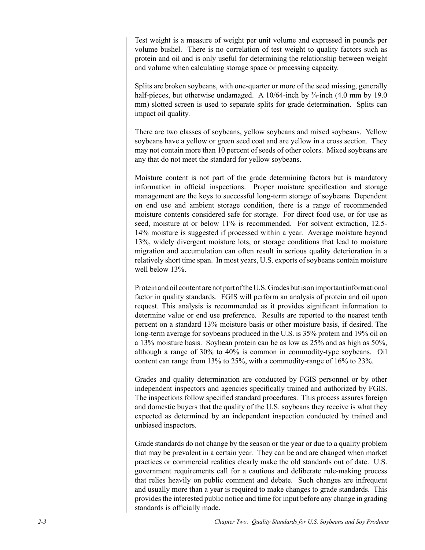Test weight is a measure of weight per unit volume and expressed in pounds per volume bushel. There is no correlation of test weight to quality factors such as protein and oil and is only useful for determining the relationship between weight and volume when calculating storage space or processing capacity.

Splits are broken soybeans, with one-quarter or more of the seed missing, generally half-pieces, but otherwise undamaged. A 10/64-inch by  $\frac{3}{4}$ -inch (4.0 mm by 19.0) mm) slotted screen is used to separate splits for grade determination. Splits can impact oil quality.

There are two classes of soybeans, yellow soybeans and mixed soybeans. Yellow soybeans have a yellow or green seed coat and are yellow in a cross section. They may not contain more than 10 percent of seeds of other colors. Mixed soybeans are any that do not meet the standard for yellow soybeans.

Moisture content is not part of the grade determining factors but is mandatory information in official inspections. Proper moisture specification and storage management are the keys to successful long-term storage of soybeans. Dependent on end use and ambient storage condition, there is a range of recommended moisture contents considered safe for storage. For direct food use, or for use as seed, moisture at or below 11% is recommended. For solvent extraction, 12.5-14% moisture is suggested if processed within a year. Average moisture beyond 13%, widely divergent moisture lots, or storage conditions that lead to moisture migration and accumulation can often result in serious quality deterioration in a relatively short time span. In most years, U.S. exports of soybeans contain moisture well below 13%.

Protein and oil content are not part of the U.S. Grades but is an important informational factor in quality standards. FGIS will perform an analysis of protein and oil upon request. This analysis is recommended as it provides significant information to determine value or end use preference. Results are reported to the nearest tenth percent on a standard 13% moisture basis or other moisture basis, if desired. The long-term average for soybeans produced in the U.S. is 35% protein and 19% oil on a 13% moisture basis. Soybean protein can be as low as 25% and as high as 50%, although a range of 30% to 40% is common in commodity-type soybeans. Oil content can range from 13% to 25%, with a commodity-range of 16% to 23%.

Grades and quality determination are conducted by FGIS personnel or by other independent inspectors and agencies specifically trained and authorized by FGIS. The inspections follow specified standard procedures. This process assures foreign and domestic buyers that the quality of the U.S. soybeans they receive is what they expected as determined by an independent inspection conducted by trained and unbiased inspectors.

Grade standards do not change by the season or the year or due to a quality problem that may be prevalent in a certain year. They can be and are changed when market practices or commercial realities clearly make the old standards out of date. U.S. government requirements call for a cautious and deliberate rule-making process that relies heavily on public comment and debate. Such changes are infrequent and usually more than a year is required to make changes to grade standards. This provides the interested public notice and time for input before any change in grading standards is officially made.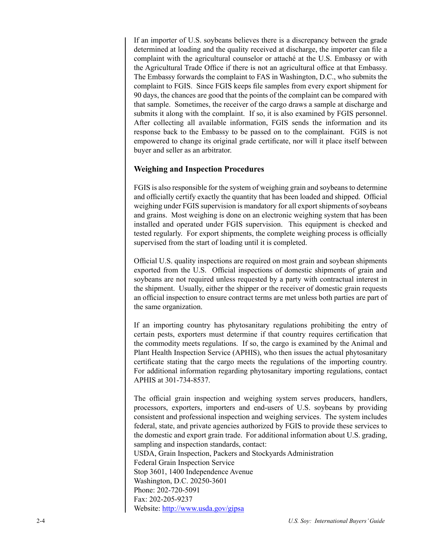If an importer of U.S. soybeans believes there is a discrepancy between the grade determined at loading and the quality received at discharge, the importer can file a complaint with the agricultural counselor or attaché at the U.S. Embassy or with the Agricultural Trade Office if there is not an agricultural office at that Embassy. The Embassy forwards the complaint to FAS in Washington, D.C., who submits the complaint to FGIS. Since FGIS keeps file samples from every export shipment for 90 days, the chances are good that the points of the complaint can be compared with that sample. Sometimes, the receiver of the cargo draws a sample at discharge and submits it along with the complaint. If so, it is also examined by FGIS personnel. After collecting all available information, FGIS sends the information and its response back to the Embassy to be passed on to the complainant. FGIS is not empowered to change its original grade certificate, nor will it place itself between buyer and seller as an arbitrator.

## **Weighing and Inspection Procedures**

FGIS is also responsible for the system of weighing grain and soybeans to determine and officially certify exactly the quantity that has been loaded and shipped. Official weighing under FGIS supervision is mandatory for all export shipments of soybeans and grains. Most weighing is done on an electronic weighing system that has been installed and operated under FGIS supervision. This equipment is checked and tested regularly. For export shipments, the complete weighing process is officially supervised from the start of loading until it is completed.

Official U.S. quality inspections are required on most grain and soybean shipments exported from the U.S. Official inspections of domestic shipments of grain and soybeans are not required unless requested by a party with contractual interest in the shipment. Usually, either the shipper or the receiver of domestic grain requests an official inspection to ensure contract terms are met unless both parties are part of the same organization.

If an importing country has phytosanitary regulations prohibiting the entry of certain pests, exporters must determine if that country requires certification that the commodity meets regulations. If so, the cargo is examined by the Animal and Plant Health Inspection Service (APHIS), who then issues the actual phytosanitary certificate stating that the cargo meets the regulations of the importing country. For additional information regarding phytosanitary importing regulations, contact APHIS at 301-734-8537.

The official grain inspection and weighing system serves producers, handlers, processors, exporters, importers and end-users of U.S. soybeans by providing consistent and professional inspection and weighing services. The system includes federal, state, and private agencies authorized by FGIS to provide these services to the domestic and export grain trade. For additional information about U.S. grading, sampling and inspection standards, contact: USDA, Grain Inspection, Packers and Stockyards Administration Federal Grain Inspection Service

Stop 3601, 1400 Independence Avenue

Washington, D.C. 20250-3601 Phone: 202-720-5091

Fax: 202-205-9237

Website: http://www.usda.gov/gipsa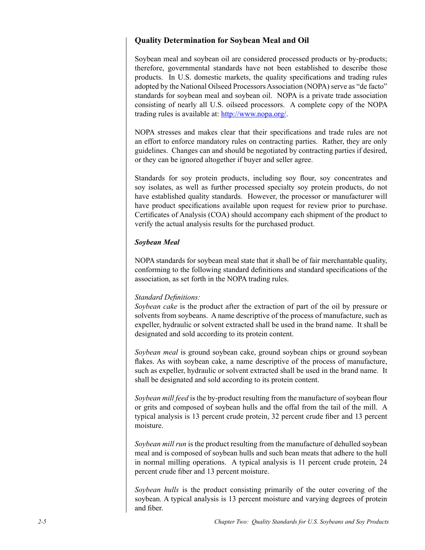## **Quality Determination for Soybean Meal and Oil**

Soybean meal and soybean oil are considered processed products or by-products; therefore, governmental standards have not been established to describe those products. In U.S. domestic markets, the quality specifications and trading rules adopted by the National Oilseed Processors Association (NOPA) serve as "de facto" standards for soybean meal and soybean oil. NOPA is a private trade association consisting of nearly all U.S. oilseed processors. A complete copy of the NOPA trading rules is available at: http://www.nopa.org/.

NOPA stresses and makes clear that their specifications and trade rules are not an effort to enforce mandatory rules on contracting parties. Rather, they are only guidelines. Changes can and should be negotiated by contracting parties if desired, or they can be ignored altogether if buyer and seller agree.

Standards for soy protein products, including soy flour, soy concentrates and soy isolates, as well as further processed specialty soy protein products, do not have established quality standards. However, the processor or manufacturer will have product specifications available upon request for review prior to purchase. Certificates of Analysis (COA) should accompany each shipment of the product to verify the actual analysis results for the purchased product.

#### *Soybean Meal*

NOPA standards for soybean meal state that it shall be of fair merchantable quality, conforming to the following standard definitions and standard specifications of the association, as set forth in the NOPA trading rules.

#### *Standard Definitions:*

*Soybean cake* is the product after the extraction of part of the oil by pressure or solvents from soybeans. A name descriptive of the process of manufacture, such as expeller, hydraulic or solvent extracted shall be used in the brand name. It shall be designated and sold according to its protein content.

*Soybean meal* is ground soybean cake, ground soybean chips or ground soybean flakes. As with soybean cake, a name descriptive of the process of manufacture, such as expeller, hydraulic or solvent extracted shall be used in the brand name. It shall be designated and sold according to its protein content.

*Soybean mill feed* is the by-product resulting from the manufacture of soybean flour or grits and composed of soybean hulls and the offal from the tail of the mill. A typical analysis is 13 percent crude protein, 32 percent crude fiber and 13 percent moisture.

*Soybean mill run* is the product resulting from the manufacture of dehulled soybean meal and is composed of soybean hulls and such bean meats that adhere to the hull in normal milling operations. A typical analysis is 11 percent crude protein, 24 percent crude fiber and 13 percent moisture.

*Soybean hulls* is the product consisting primarily of the outer covering of the soybean. A typical analysis is 13 percent moisture and varying degrees of protein and fiber.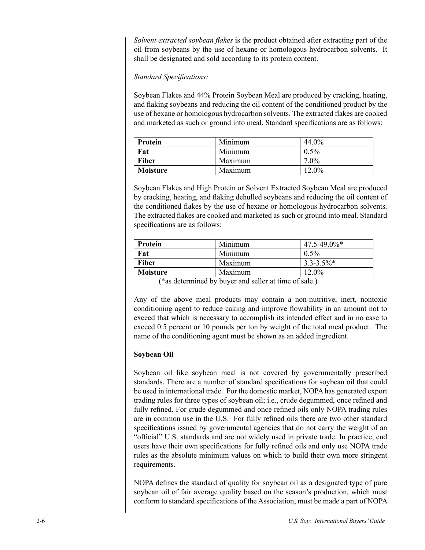*Solvent extracted soybean flakes* is the product obtained after extracting part of the oil from soybeans by the use of hexane or homologous hydrocarbon solvents. It shall be designated and sold according to its protein content.

### *Standard Specifications:*

Soybean Flakes and 44% Protein Soybean Meal are produced by cracking, heating, and flaking soybeans and reducing the oil content of the conditioned product by the use of hexane or homologous hydrocarbon solvents. The extracted flakes are cooked and marketed as such or ground into meal. Standard specifications are as follows:

| Protein         | Minimum | 44.0%   |
|-----------------|---------|---------|
| Fat             | Minimum | $0.5\%$ |
| <b>Fiber</b>    | Maximum | $7.0\%$ |
| <b>Moisture</b> | Maximum | 12.0%   |

Soybean Flakes and High Protein or Solvent Extracted Soybean Meal are produced by cracking, heating, and flaking dehulled soybeans and reducing the oil content of the conditioned flakes by the use of hexane or homologous hydrocarbon solvents. The extracted flakes are cooked and marketed as such or ground into meal. Standard specifications are as follows:

| Protein         | Minimum | $47.5 - 49.0\%$ * |
|-----------------|---------|-------------------|
| Fat             | Minimum | $0.5\%$           |
| <b>Fiber</b>    | Maximum | $3.3 - 3.5\%$ *   |
| <b>Moisture</b> | Maximum | $12.0\%$          |

(\*as determined by buyer and seller at time of sale.)

Any of the above meal products may contain a non-nutritive, inert, nontoxic conditioning agent to reduce caking and improve flowability in an amount not to exceed that which is necessary to accomplish its intended effect and in no case to exceed 0.5 percent or 10 pounds per ton by weight of the total meal product. The name of the conditioning agent must be shown as an added ingredient.

## **Soybean Oil**

Soybean oil like soybean meal is not covered by governmentally prescribed standards. There are a number of standard specifications for soybean oil that could be used in international trade. For the domestic market, NOPA has generated export trading rules for three types of soybean oil; i.e., crude degummed, once refined and fully refined. For crude degummed and once refined oils only NOPA trading rules are in common use in the U.S. For fully refined oils there are two other standard specifications issued by governmental agencies that do not carry the weight of an "official" U.S. standards and are not widely used in private trade. In practice, end users have their own specifications for fully refined oils and only use NOPA trade rules as the absolute minimum values on which to build their own more stringent requirements.

NOPA defines the standard of quality for soybean oil as a designated type of pure soybean oil of fair average quality based on the season's production, which must conform to standard specifications of the Association, must be made a part of NOPA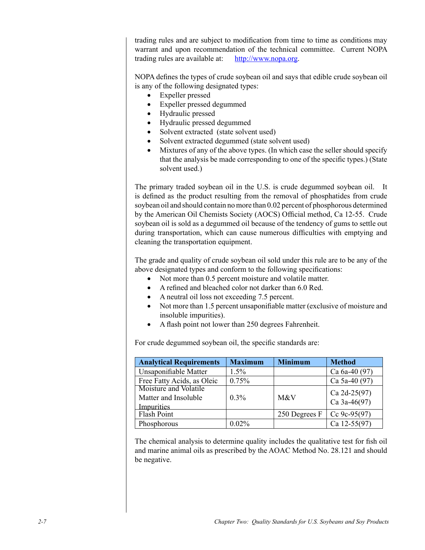trading rules and are subject to modification from time to time as conditions may warrant and upon recommendation of the technical committee. Current NOPA trading rules are available at: http://www.nopa.org.

NOPA defines the types of crude soybean oil and says that edible crude soybean oil is any of the following designated types:

- Expeller pressed
- Expeller pressed degummed
- Hydraulic pressed
- Hydraulic pressed degummed
- Solvent extracted (state solvent used)
- Solvent extracted degummed (state solvent used)
- Mixtures of any of the above types. (In which case the seller should specify that the analysis be made corresponding to one of the specific types.) (State solvent used.)

The primary traded soybean oil in the U.S. is crude degummed soybean oil. It is defined as the product resulting from the removal of phosphatides from crude soybean oil and should contain no more than 0.02 percent of phosphorous determined by the American Oil Chemists Society (AOCS) Official method, Ca 12-55. Crude soybean oil is sold as a degummed oil because of the tendency of gums to settle out during transportation, which can cause numerous difficulties with emptying and cleaning the transportation equipment.

The grade and quality of crude soybean oil sold under this rule are to be any of the above designated types and conform to the following specifications:

- Not more than 0.5 percent moisture and volatile matter.
- A refined and bleached color not darker than 6.0 Red.
- A neutral oil loss not exceeding 7.5 percent.
- Not more than 1.5 percent unsaponifiable matter (exclusive of moisture and insoluble impurities).
- A flash point not lower than 250 degrees Fahrenheit.

For crude degummed soybean oil, the specific standards are:

| <b>Analytical Requirements</b> | <b>Maximum</b> | <b>Minimum</b> | <b>Method</b>  |
|--------------------------------|----------------|----------------|----------------|
| Unsaponifiable Matter          | $1.5\%$        |                | Ca 6a-40 (97)  |
| Free Fatty Acids, as Oleic     | 0.75%          |                | Ca 5a-40 (97)  |
| Moisture and Volatile          |                |                | Ca $2d-25(97)$ |
| Matter and Insoluble           | $0.3\%$        | M&V            | Ca $3a-46(97)$ |
| Impurities                     |                |                |                |
| Flash Point                    |                | 250 Degrees F  | Cc $9c-95(97)$ |
| Phosphorous                    | 0.02%          |                | Ca $12-55(97)$ |

The chemical analysis to determine quality includes the qualitative test for fish oil and marine animal oils as prescribed by the AOAC Method No. 28.121 and should be negative.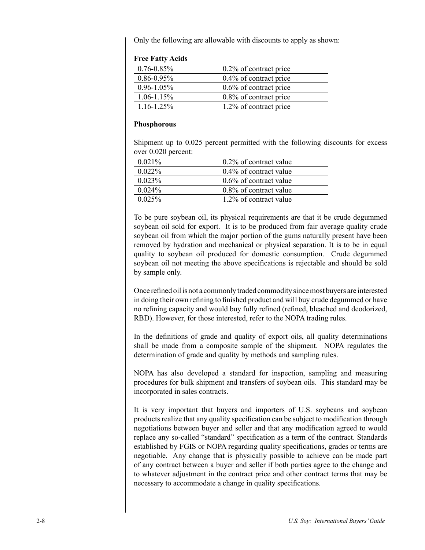Only the following are allowable with discounts to apply as shown:

| $0.76 - 0.85\%$ | 0.2% of contract price    |
|-----------------|---------------------------|
| $0.86 - 0.95\%$ | 0.4% of contract price    |
| $0.96 - 1.05\%$ | $0.6\%$ of contract price |
| $1.06 - 1.15\%$ | 0.8% of contract price    |
| $1.16 - 1.25\%$ | 1.2% of contract price    |

#### **Free Fatty Acids**

#### **Phosphorous**

Shipment up to 0.025 percent permitted with the following discounts for excess over 0.020 percent:

| $0.2\%$ of contract value |
|---------------------------|
| $0.4\%$ of contract value |
| $0.6\%$ of contract value |
| $0.8\%$ of contract value |
| 1.2% of contract value    |
|                           |

To be pure soybean oil, its physical requirements are that it be crude degummed soybean oil sold for export. It is to be produced from fair average quality crude soybean oil from which the major portion of the gums naturally present have been removed by hydration and mechanical or physical separation. It is to be in equal quality to soybean oil produced for domestic consumption. Crude degummed soybean oil not meeting the above specifications is rejectable and should be sold by sample only.

Once refined oil is not a commonly traded commodity since most buyers are interested in doing their own refining to finished product and will buy crude degummed or have no refining capacity and would buy fully refined (refined, bleached and deodorized, RBD). However, for those interested, refer to the NOPA trading rules.

In the definitions of grade and quality of export oils, all quality determinations shall be made from a composite sample of the shipment. NOPA regulates the determination of grade and quality by methods and sampling rules.

NOPA has also developed a standard for inspection, sampling and measuring procedures for bulk shipment and transfers of soybean oils. This standard may be incorporated in sales contracts.

It is very important that buyers and importers of U.S. soybeans and soybean products realize that any quality specification can be subject to modification through negotiations between buyer and seller and that any modification agreed to would replace any so-called "standard" specification as a term of the contract. Standards established by FGIS or NOPA regarding quality specifications, grades or terms are negotiable. Any change that is physically possible to achieve can be made part of any contract between a buyer and seller if both parties agree to the change and to whatever adjustment in the contract price and other contract terms that may be necessary to accommodate a change in quality specifications.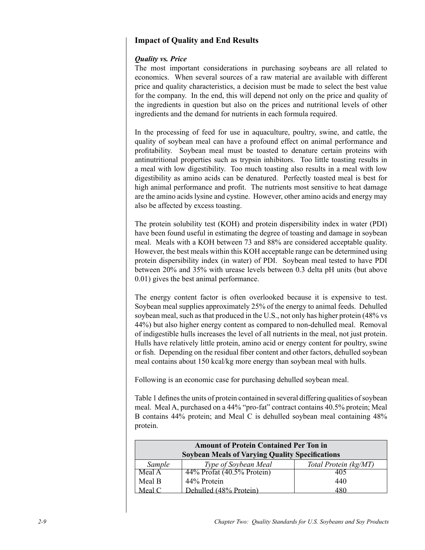## **Impact of Quality and End Results**

### *Quality vs. Price*

The most important considerations in purchasing soybeans are all related to economics. When several sources of a raw material are available with different price and quality characteristics, a decision must be made to select the best value for the company. In the end, this will depend not only on the price and quality of the ingredients in question but also on the prices and nutritional levels of other ingredients and the demand for nutrients in each formula required.

In the processing of feed for use in aquaculture, poultry, swine, and cattle, the quality of soybean meal can have a profound effect on animal performance and profitability. Soybean meal must be toasted to denature certain proteins with antinutritional properties such as trypsin inhibitors. Too little toasting results in a meal with low digestibility. Too much toasting also results in a meal with low digestibility as amino acids can be denatured. Perfectly toasted meal is best for high animal performance and profit. The nutrients most sensitive to heat damage are the amino acids lysine and cystine. However, other amino acids and energy may also be affected by excess toasting.

The protein solubility test (KOH) and protein dispersibility index in water (PDI) have been found useful in estimating the degree of toasting and damage in soybean meal. Meals with a KOH between 73 and 88% are considered acceptable quality. However, the best meals within this KOH acceptable range can be determined using protein dispersibility index (in water) of PDI. Soybean meal tested to have PDI between 20% and 35% with urease levels between 0.3 delta pH units (but above 0.01) gives the best animal performance.

The energy content factor is often overlooked because it is expensive to test. Soybean meal supplies approximately 25% of the energy to animal feeds. Dehulled soybean meal, such as that produced in the U.S., not only has higher protein (48% vs 44%) but also higher energy content as compared to non-dehulled meal. Removal of indigestible hulls increases the level of all nutrients in the meal, not just protein. Hulls have relatively little protein, amino acid or energy content for poultry, swine or fish. Depending on the residual fiber content and other factors, dehulled soybean meal contains about 150 kcal/kg more energy than soybean meal with hulls.

Following is an economic case for purchasing dehulled soybean meal.

Table 1 defines the units of protein contained in several differing qualities of soybean meal. Meal A, purchased on a 44% "pro-fat" contract contains 40.5% protein; Meal B contains 44% protein; and Meal C is dehulled soybean meal containing 48% protein.

| <b>Amount of Protein Contained Per Ton in</b>          |                            |                       |  |
|--------------------------------------------------------|----------------------------|-----------------------|--|
| <b>Soybean Meals of Varying Quality Specifications</b> |                            |                       |  |
| Sample                                                 | Type of Soybean Meal       | Total Protein (kg/MT) |  |
| Meal A                                                 | 44% Profat (40.5% Protein) |                       |  |
| Meal B                                                 | 44% Protein                | 440                   |  |
| Meal                                                   | Dehulled (48% Protein)     | 480                   |  |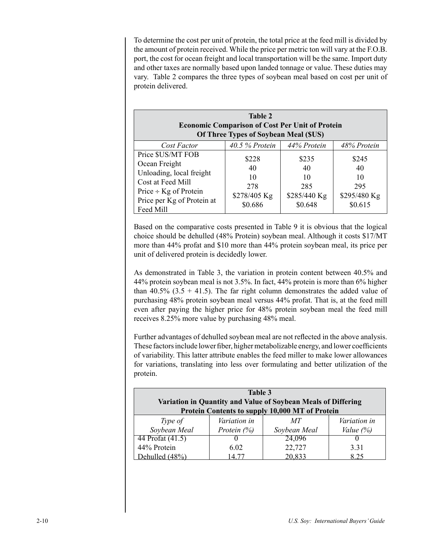To determine the cost per unit of protein, the total price at the feed mill is divided by the amount of protein received. While the price per metric ton will vary at the F.O.B. port, the cost for ocean freight and local transportation will be the same. Import duty and other taxes are normally based upon landed tonnage or value. These duties may vary. Table 2 compares the three types of soybean meal based on cost per unit of protein delivered.

| <b>Table 2</b><br><b>Economic Comparison of Cost Per Unit of Protein</b><br>Of Three Types of Soybean Meal (\$US)                                            |                                                     |                                                     |                                                     |
|--------------------------------------------------------------------------------------------------------------------------------------------------------------|-----------------------------------------------------|-----------------------------------------------------|-----------------------------------------------------|
| Cost Factor                                                                                                                                                  | $40.5%$ Protein                                     | 44% Protein                                         | 48% Protein                                         |
| Price \$US/MT FOB<br>Ocean Freight<br>Unloading, local freight<br>Cost at Feed Mill<br>Price $\div$ Kg of Protein<br>Price per Kg of Protein at<br>Feed Mill | \$228<br>40<br>10<br>278<br>\$278/405 Kg<br>\$0.686 | \$235<br>40<br>10<br>285<br>\$285/440 Kg<br>\$0.648 | \$245<br>40<br>10<br>295<br>\$295/480 Kg<br>\$0.615 |

Based on the comparative costs presented in Table 9 it is obvious that the logical choice should be dehulled (48% Protein) soybean meal. Although it costs \$17/MT more than 44% profat and \$10 more than 44% protein soybean meal, its price per unit of delivered protein is decidedly lower.

As demonstrated in Table 3, the variation in protein content between 40.5% and 44% protein soybean meal is not 3.5%. In fact, 44% protein is more than 6% higher than 40.5% (3.5 + 41.5). The far right column demonstrates the added value of purchasing 48% protein soybean meal versus 44% profat. That is, at the feed mill even after paying the higher price for 48% protein soybean meal the feed mill receives 8.25% more value by purchasing 48% meal.

Further advantages of dehulled soybean meal are not reflected in the above analysis. These factors include lower fiber, higher metabolizable energy, and lower coefficients of variability. This latter attribute enables the feed miller to make lower allowances for variations, translating into less over formulating and better utilization of the protein.

| Table 3<br>Variation in Quantity and Value of Soybean Meals of Differing<br>Protein Contents to supply 10,000 MT of Protein |                     |              |                     |
|-----------------------------------------------------------------------------------------------------------------------------|---------------------|--------------|---------------------|
| Type of                                                                                                                     | <i>Variation in</i> | MТ           | <i>Variation in</i> |
| Soybean Meal                                                                                                                | Protein $(\%)$      | Soybean Meal | Value $(\%)$        |
| 44 Profat (41.5)                                                                                                            |                     | 24,096       |                     |
| 44% Protein                                                                                                                 | 6.02                | 22,727       | 3.31                |
| $\Delta$ -behulled $(48\%)$                                                                                                 | I 4-77              | 20.833       | 825                 |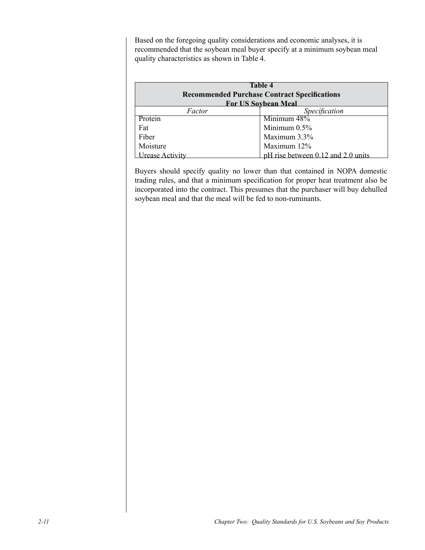Based on the foregoing quality considerations and economic analyses, it is recommended that the soybean meal buyer specify at a minimum soybean meal quality characteristics as shown in Table 4.

| <b>Table 4</b><br><b>Recommended Purchase Contract Specifications</b><br><b>For US Sovbean Meal</b> |                                    |  |
|-----------------------------------------------------------------------------------------------------|------------------------------------|--|
| Specification<br>Factor                                                                             |                                    |  |
| Protein                                                                                             | Minimum 48%                        |  |
| Fat                                                                                                 | Minimum $0.5\%$                    |  |
| Fiber                                                                                               | Maximum 3.3%                       |  |
| Moisture                                                                                            | Maximum 12%                        |  |
| Irease Activity                                                                                     | pH rise between 0.12 and 2.0 units |  |

Buyers should specify quality no lower than that contained in NOPA domestic trading rules, and that a minimum specification for proper heat treatment also be incorporated into the contract. This presumes that the purchaser will buy dehulled soybean meal and that the meal will be fed to non-ruminants.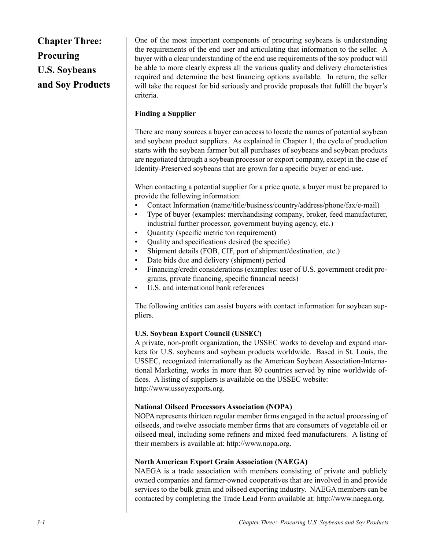**Chapter Three: Procuring U.S. Soybeans and Soy Products** One of the most important components of procuring soybeans is understanding the requirements of the end user and articulating that information to the seller. A buyer with a clear understanding of the end use requirements of the soy product will be able to more clearly express all the various quality and delivery characteristics required and determine the best financing options available. In return, the seller will take the request for bid seriously and provide proposals that fulfill the buyer's criteria.

## **Finding a Supplier**

There are many sources a buyer can access to locate the names of potential soybean and soybean product suppliers. As explained in Chapter 1, the cycle of production starts with the soybean farmer but all purchases of soybeans and soybean products are negotiated through a soybean processor or export company, except in the case of Identity-Preserved soybeans that are grown for a specific buyer or end-use.

When contacting a potential supplier for a price quote, a buyer must be prepared to provide the following information:

- Contact Information (name/title/business/country/address/phone/fax/e-mail) •
- Type of buyer (examples: merchandising company, broker, feed manufacturer, industrial further processor, government buying agency, etc.) •
- Quantity (specific metric ton requirement) •
- Quality and specifications desired (be specific) •
- Shipment details (FOB, CIF, port of shipment/destination, etc.) •
- Date bids due and delivery (shipment) period •
- Financing/credit considerations (examples: user of U.S. government credit programs, private financing, specific financial needs) •
- U.S. and international bank references •

The following entities can assist buyers with contact information for soybean suppliers.

## **U.S. Soybean Export Council (USSEC)**

A private, non-profit organization, the USSEC works to develop and expand markets for U.S. soybeans and soybean products worldwide. Based in St. Louis, the USSEC, recognized internationally as the American Soybean Association-International Marketing, works in more than 80 countries served by nine worldwide offices. A listing of suppliers is available on the USSEC website: http://www.ussoyexports.org.

## **National Oilseed Processors Association (NOPA)**

NOPA represents thirteen regular member firms engaged in the actual processing of oilseeds, and twelve associate member firms that are consumers of vegetable oil or oilseed meal, including some refiners and mixed feed manufacturers. A listing of their members is available at: http://www.nopa.org.

## **North American Export Grain Association (NAEGA)**

NAEGA is a trade association with members consisting of private and publicly owned companies and farmer-owned cooperatives that are involved in and provide services to the bulk grain and oilseed exporting industry. NAEGA members can be contacted by completing the Trade Lead Form available at: http://www.naega.org.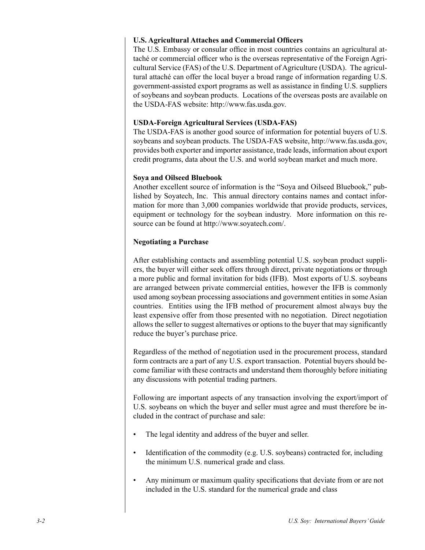#### **U.S. Agricultural Attaches and Commercial Officers**

The U.S. Embassy or consular office in most countries contains an agricultural attaché or commercial officer who is the overseas representative of the Foreign Agricultural Service (FAS) of the U.S. Department of Agriculture (USDA). The agricultural attaché can offer the local buyer a broad range of information regarding U.S. government-assisted export programs as well as assistance in finding U.S. suppliers of soybeans and soybean products. Locations of the overseas posts are available on the USDA-FAS website: http://www.fas.usda.gov.

#### **USDA-Foreign Agricultural Services (USDA-FAS)**

The USDA-FAS is another good source of information for potential buyers of U.S. soybeans and soybean products. The USDA-FAS website, http://www.fas.usda.gov, provides both exporter and importer assistance, trade leads, information about export credit programs, data about the U.S. and world soybean market and much more.

#### **Soya and Oilseed Bluebook**

Another excellent source of information is the "Soya and Oilseed Bluebook," published by Soyatech, Inc. This annual directory contains names and contact information for more than 3,000 companies worldwide that provide products, services, equipment or technology for the soybean industry. More information on this resource can be found at http://www.soyatech.com/.

#### **Negotiating a Purchase**

After establishing contacts and assembling potential U.S. soybean product suppliers, the buyer will either seek offers through direct, private negotiations or through a more public and formal invitation for bids (IFB). Most exports of U.S. soybeans are arranged between private commercial entities, however the IFB is commonly used among soybean processing associations and government entities in some Asian countries. Entities using the IFB method of procurement almost always buy the least expensive offer from those presented with no negotiation. Direct negotiation allows the seller to suggest alternatives or options to the buyer that may significantly reduce the buyer's purchase price.

Regardless of the method of negotiation used in the procurement process, standard form contracts are a part of any U.S. export transaction. Potential buyers should become familiar with these contracts and understand them thoroughly before initiating any discussions with potential trading partners.

Following are important aspects of any transaction involving the export/import of U.S. soybeans on which the buyer and seller must agree and must therefore be included in the contract of purchase and sale:

- The legal identity and address of the buyer and seller. •
- Identification of the commodity (e.g. U.S. soybeans) contracted for, including the minimum U.S. numerical grade and class. •
- Any minimum or maximum quality specifications that deviate from or are not included in the U.S. standard for the numerical grade and class •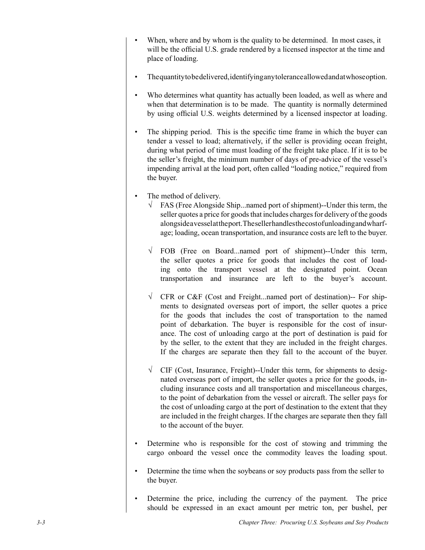- When, where and by whom is the quality to be determined. In most cases, it will be the official U.S. grade rendered by a licensed inspector at the time and place of loading. •
- The quantity to be delivered, identifying any tolerance allowed and at whose option. •
- Who determines what quantity has actually been loaded, as well as where and when that determination is to be made. The quantity is normally determined by using official U.S. weights determined by a licensed inspector at loading. •
- The shipping period. This is the specific time frame in which the buyer can tender a vessel to load; alternatively, if the seller is providing ocean freight, during what period of time must loading of the freight take place. If it is to be the seller's freight, the minimum number of days of pre-advice of the vessel's impending arrival at the load port, often called "loading notice," required from the buyer. •
- The method of delivery. •
	- $\sqrt{\phantom{a}}$  FAS (Free Alongside Ship...named port of shipment)--Under this term, the seller quotes a price for goods that includes charges for delivery of the goods alongside a vessel at the port. The seller handles the cost of unloading and wharfage; loading, ocean transportation, and insurance costs are left to the buyer.
	- FOB (Free on Board...named port of shipment)--Under this term, √ the seller quotes a price for goods that includes the cost of loading onto the transport vessel at the designated point. Ocean transportation and insurance are left to the buyer's account.
	- CFR or C&F (Cost and Freight...named port of destination)-- For ship-√ ments to designated overseas port of import, the seller quotes a price for the goods that includes the cost of transportation to the named point of debarkation. The buyer is responsible for the cost of insurance. The cost of unloading cargo at the port of destination is paid for by the seller, to the extent that they are included in the freight charges. If the charges are separate then they fall to the account of the buyer.
	- CIF (Cost, Insurance, Freight)--Under this term, for shipments to desig-√ nated overseas port of import, the seller quotes a price for the goods, including insurance costs and all transportation and miscellaneous charges, to the point of debarkation from the vessel or aircraft. The seller pays for the cost of unloading cargo at the port of destination to the extent that they are included in the freight charges. If the charges are separate then they fall to the account of the buyer.
- Determine who is responsible for the cost of stowing and trimming the cargo onboard the vessel once the commodity leaves the loading spout. •
- Determine the time when the soybeans or soy products pass from the seller to the buyer. •
- Determine the price, including the currency of the payment. The price should be expressed in an exact amount per metric ton, per bushel, per •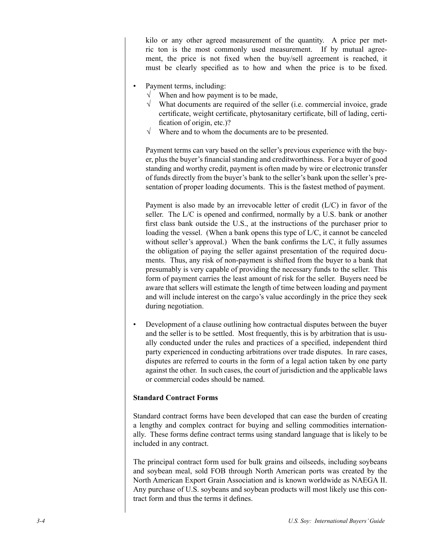kilo or any other agreed measurement of the quantity. A price per metric ton is the most commonly used measurement. If by mutual agreement, the price is not fixed when the buy/sell agreement is reached, it must be clearly specified as to how and when the price is to be fixed.

- Payment terms, including: •
	- When and how payment is to be made, √
	- $\sqrt{\phantom{a}}$  What documents are required of the seller (i.e. commercial invoice, grade certificate, weight certificate, phytosanitary certificate, bill of lading, certification of origin, etc.)?
	- $\sqrt{\phantom{a}}$  Where and to whom the documents are to be presented.

Payment terms can vary based on the seller's previous experience with the buyer, plus the buyer's financial standing and creditworthiness. For a buyer of good standing and worthy credit, payment is often made by wire or electronic transfer of funds directly from the buyer's bank to the seller's bank upon the seller's presentation of proper loading documents. This is the fastest method of payment.

Payment is also made by an irrevocable letter of credit (L/C) in favor of the seller. The L/C is opened and confirmed, normally by a U.S. bank or another first class bank outside the U.S., at the instructions of the purchaser prior to loading the vessel. (When a bank opens this type of L/C, it cannot be canceled without seller's approval.) When the bank confirms the  $L/C$ , it fully assumes the obligation of paying the seller against presentation of the required documents. Thus, any risk of non-payment is shifted from the buyer to a bank that presumably is very capable of providing the necessary funds to the seller. This form of payment carries the least amount of risk for the seller. Buyers need be aware that sellers will estimate the length of time between loading and payment and will include interest on the cargo's value accordingly in the price they seek during negotiation.

Development of a clause outlining how contractual disputes between the buyer and the seller is to be settled. Most frequently, this is by arbitration that is usually conducted under the rules and practices of a specified, independent third party experienced in conducting arbitrations over trade disputes. In rare cases, disputes are referred to courts in the form of a legal action taken by one party against the other. In such cases, the court of jurisdiction and the applicable laws or commercial codes should be named. •

#### **Standard Contract Forms**

Standard contract forms have been developed that can ease the burden of creating a lengthy and complex contract for buying and selling commodities internationally. These forms define contract terms using standard language that is likely to be included in any contract.

The principal contract form used for bulk grains and oilseeds, including soybeans and soybean meal, sold FOB through North American ports was created by the North American Export Grain Association and is known worldwide as NAEGA II. Any purchase of U.S. soybeans and soybean products will most likely use this contract form and thus the terms it defines.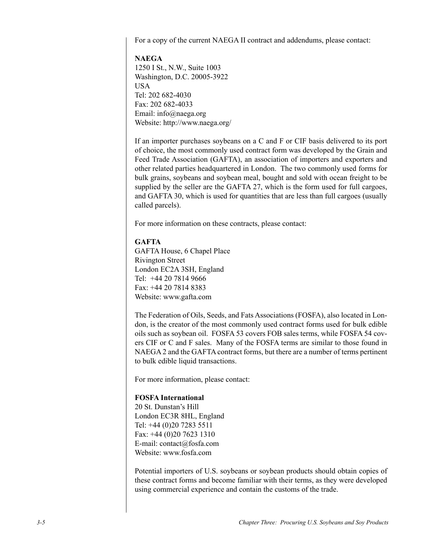For a copy of the current NAEGA II contract and addendums, please contact:

**NAEGA** 1250 I St., N.W., Suite 1003 Washington, D.C. 20005-3922 USA Tel: 202 682-4030 Fax: 202 682-4033 Email: info@naega.org Website: http://www.naega.org/

If an importer purchases soybeans on a C and F or CIF basis delivered to its port of choice, the most commonly used contract form was developed by the Grain and Feed Trade Association (GAFTA), an association of importers and exporters and other related parties headquartered in London. The two commonly used forms for bulk grains, soybeans and soybean meal, bought and sold with ocean freight to be supplied by the seller are the GAFTA 27, which is the form used for full cargoes, and GAFTA 30, which is used for quantities that are less than full cargoes (usually called parcels).

For more information on these contracts, please contact:

#### **GAFTA**

GAFTA House, 6 Chapel Place Rivington Street London EC2A 3SH, England Tel: +44 20 7814 9666 Fax: +44 20 7814 8383 Website: www.gafta.com

The Federation of Oils, Seeds, and Fats Associations (FOSFA), also located in London, is the creator of the most commonly used contract forms used for bulk edible oils such as soybean oil. FOSFA 53 covers FOB sales terms, while FOSFA 54 covers CIF or C and F sales. Many of the FOSFA terms are similar to those found in NAEGA 2 and the GAFTA contract forms, but there are a number of terms pertinent to bulk edible liquid transactions.

For more information, please contact:

#### **FOSFA International**

20 St. Dunstan's Hill London EC3R 8HL, England Tel: +44 (0)20 7283 5511 Fax: +44 (0)20 7623 1310 E-mail: contact@fosfa.com Website: www.fosfa.com

Potential importers of U.S. soybeans or soybean products should obtain copies of these contract forms and become familiar with their terms, as they were developed using commercial experience and contain the customs of the trade.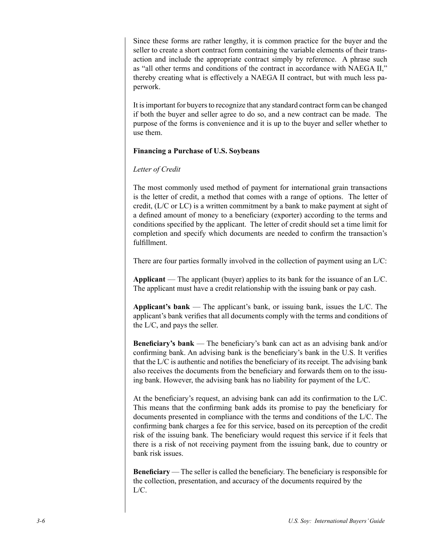Since these forms are rather lengthy, it is common practice for the buyer and the seller to create a short contract form containing the variable elements of their transaction and include the appropriate contract simply by reference. A phrase such as "all other terms and conditions of the contract in accordance with NAEGA II," thereby creating what is effectively a NAEGA II contract, but with much less paperwork.

It is important for buyers to recognize that any standard contract form can be changed if both the buyer and seller agree to do so, and a new contract can be made. The purpose of the forms is convenience and it is up to the buyer and seller whether to use them.

#### **Financing a Purchase of U.S. Soybeans**

## *Letter of Credit*

The most commonly used method of payment for international grain transactions is the letter of credit, a method that comes with a range of options. The letter of credit, (L/C or LC) is a written commitment by a bank to make payment at sight of a defined amount of money to a beneficiary (exporter) according to the terms and conditions specified by the applicant. The letter of credit should set a time limit for completion and specify which documents are needed to confirm the transaction's fulfillment.

There are four parties formally involved in the collection of payment using an L/C:

**Applicant** — The applicant (buyer) applies to its bank for the issuance of an L/C. The applicant must have a credit relationship with the issuing bank or pay cash.

**Applicant's bank** — The applicant's bank, or issuing bank, issues the L/C. The applicant's bank verifies that all documents comply with the terms and conditions of the L/C, and pays the seller.

**Beneficiary's bank** — The beneficiary's bank can act as an advising bank and/or confirming bank. An advising bank is the beneficiary's bank in the U.S. It verifies that the L/C is authentic and notifies the beneficiary of its receipt. The advising bank also receives the documents from the beneficiary and forwards them on to the issuing bank. However, the advising bank has no liability for payment of the L/C.

At the beneficiary's request, an advising bank can add its confirmation to the L/C. This means that the confirming bank adds its promise to pay the beneficiary for documents presented in compliance with the terms and conditions of the L/C. The confirming bank charges a fee for this service, based on its perception of the credit risk of the issuing bank. The beneficiary would request this service if it feels that there is a risk of not receiving payment from the issuing bank, due to country or bank risk issues.

**Beneficiary** — The seller is called the beneficiary. The beneficiary is responsible for the collection, presentation, and accuracy of the documents required by the L/C.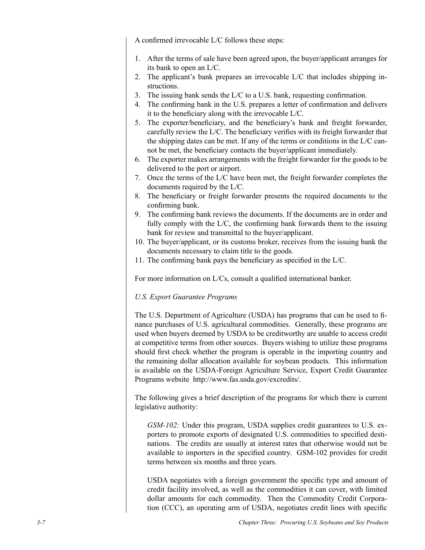A confirmed irrevocable L/C follows these steps:

- After the terms of sale have been agreed upon, the buyer/applicant arranges for 1. its bank to open an L/C.
- 2. The applicant's bank prepares an irrevocable L/C that includes shipping instructions.
- The issuing bank sends the L/C to a U.S. bank, requesting confirmation. 3.
- The confirming bank in the U.S. prepares a letter of confirmation and delivers 4. it to the beneficiary along with the irrevocable L/C.
- 5. The exporter/beneficiary, and the beneficiary's bank and freight forwarder, carefully review the L/C. The beneficiary verifies with its freight forwarder that the shipping dates can be met. If any of the terms or conditions in the L/C cannot be met, the beneficiary contacts the buyer/applicant immediately.
- The exporter makes arrangements with the freight forwarder for the goods to be 6. delivered to the port or airport.
- 7. Once the terms of the L/C have been met, the freight forwarder completes the documents required by the L/C.
- The beneficiary or freight forwarder presents the required documents to the 8. confirming bank.
- The confirming bank reviews the documents. If the documents are in order and 9. fully comply with the L/C, the confirming bank forwards them to the issuing bank for review and transmittal to the buyer/applicant.
- 10. The buyer/applicant, or its customs broker, receives from the issuing bank the documents necessary to claim title to the goods.
- 11. The confirming bank pays the beneficiary as specified in the  $L/C$ .

For more information on L/Cs, consult a qualified international banker.

#### *U.S. Export Guarantee Programs*

The U.S. Department of Agriculture (USDA) has programs that can be used to finance purchases of U.S. agricultural commodities. Generally, these programs are used when buyers deemed by USDA to be creditworthy are unable to access credit at competitive terms from other sources. Buyers wishing to utilize these programs should first check whether the program is operable in the importing country and the remaining dollar allocation available for soybean products. This information is available on the USDA-Foreign Agriculture Service, Export Credit Guarantee Programs website http://www.fas.usda.gov/excredits/.

The following gives a brief description of the programs for which there is current legislative authority:

*GSM-102:* Under this program, USDA supplies credit guarantees to U.S. exporters to promote exports of designated U.S. commodities to specified destinations. The credits are usually at interest rates that otherwise would not be available to importers in the specified country. GSM-102 provides for credit terms between six months and three years.

USDA negotiates with a foreign government the specific type and amount of credit facility involved, as well as the commodities it can cover, with limited dollar amounts for each commodity. Then the Commodity Credit Corporation (CCC), an operating arm of USDA, negotiates credit lines with specific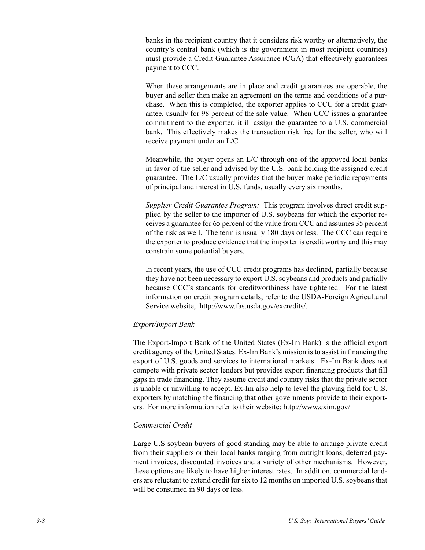banks in the recipient country that it considers risk worthy or alternatively, the country's central bank (which is the government in most recipient countries) must provide a Credit Guarantee Assurance (CGA) that effectively guarantees payment to CCC.

When these arrangements are in place and credit guarantees are operable, the buyer and seller then make an agreement on the terms and conditions of a purchase. When this is completed, the exporter applies to CCC for a credit guarantee, usually for 98 percent of the sale value. When CCC issues a guarantee commitment to the exporter, it ill assign the guarantee to a U.S. commercial bank. This effectively makes the transaction risk free for the seller, who will receive payment under an L/C.

Meanwhile, the buyer opens an L/C through one of the approved local banks in favor of the seller and advised by the U.S. bank holding the assigned credit guarantee. The L/C usually provides that the buyer make periodic repayments of principal and interest in U.S. funds, usually every six months.

*Supplier Credit Guarantee Program:* This program involves direct credit supplied by the seller to the importer of U.S. soybeans for which the exporter receives a guarantee for 65 percent of the value from CCC and assumes 35 percent of the risk as well. The term is usually 180 days or less. The CCC can require the exporter to produce evidence that the importer is credit worthy and this may constrain some potential buyers.

In recent years, the use of CCC credit programs has declined, partially because they have not been necessary to export U.S. soybeans and products and partially because CCC's standards for creditworthiness have tightened. For the latest information on credit program details, refer to the USDA-Foreign Agricultural Service website, http://www.fas.usda.gov/excredits/.

## *Export/Import Bank*

The Export-Import Bank of the United States (Ex-Im Bank) is the official export credit agency of the United States. Ex-Im Bank's mission is to assist in financing the export of U.S. goods and services to international markets. Ex-Im Bank does not compete with private sector lenders but provides export financing products that fill gaps in trade financing. They assume credit and country risks that the private sector is unable or unwilling to accept. Ex-Im also help to level the playing field for U.S. exporters by matching the financing that other governments provide to their exporters. For more information refer to their website: http://www.exim.gov/

#### *Commercial Credit*

Large U.S soybean buyers of good standing may be able to arrange private credit from their suppliers or their local banks ranging from outright loans, deferred payment invoices, discounted invoices and a variety of other mechanisms. However, these options are likely to have higher interest rates. In addition, commercial lenders are reluctant to extend credit for six to 12 months on imported U.S. soybeans that will be consumed in 90 days or less.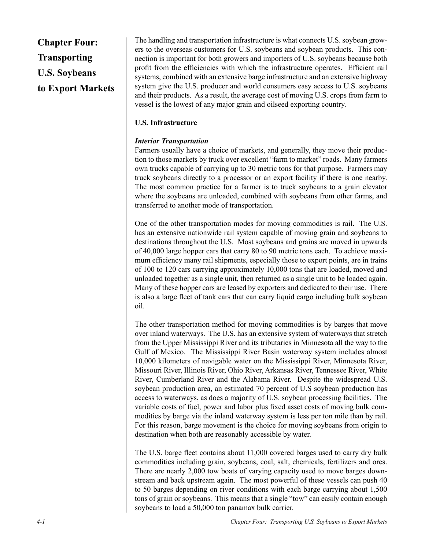# **Chapter Four: Transporting U.S. Soybeans to Export Markets**

The handling and transportation infrastructure is what connects U.S. soybean growers to the overseas customers for U.S. soybeans and soybean products. This connection is important for both growers and importers of U.S. soybeans because both profit from the efficiencies with which the infrastructure operates. Efficient rail systems, combined with an extensive barge infrastructure and an extensive highway system give the U.S. producer and world consumers easy access to U.S. soybeans and their products. As a result, the average cost of moving U.S. crops from farm to vessel is the lowest of any major grain and oilseed exporting country.

## **U.S. Infrastructure**

## *Interior Transportation*

Farmers usually have a choice of markets, and generally, they move their production to those markets by truck over excellent "farm to market" roads. Many farmers own trucks capable of carrying up to 30 metric tons for that purpose. Farmers may truck soybeans directly to a processor or an export facility if there is one nearby. The most common practice for a farmer is to truck soybeans to a grain elevator where the soybeans are unloaded, combined with soybeans from other farms, and transferred to another mode of transportation.

One of the other transportation modes for moving commodities is rail. The U.S. has an extensive nationwide rail system capable of moving grain and soybeans to destinations throughout the U.S. Most soybeans and grains are moved in upwards of 40,000 large hopper cars that carry 80 to 90 metric tons each. To achieve maximum efficiency many rail shipments, especially those to export points, are in trains of 100 to 120 cars carrying approximately 10,000 tons that are loaded, moved and unloaded together as a single unit, then returned as a single unit to be loaded again. Many of these hopper cars are leased by exporters and dedicated to their use. There is also a large fleet of tank cars that can carry liquid cargo including bulk soybean oil.

The other transportation method for moving commodities is by barges that move over inland waterways. The U.S. has an extensive system of waterways that stretch from the Upper Mississippi River and its tributaries in Minnesota all the way to the Gulf of Mexico. The Mississippi River Basin waterway system includes almost 10,000 kilometers of navigable water on the Mississippi River, Minnesota River, Missouri River, Illinois River, Ohio River, Arkansas River, Tennessee River, White River, Cumberland River and the Alabama River. Despite the widespread U.S. soybean production area, an estimated 70 percent of U.S soybean production has access to waterways, as does a majority of U.S. soybean processing facilities. The variable costs of fuel, power and labor plus fixed asset costs of moving bulk commodities by barge via the inland waterway system is less per ton mile than by rail. For this reason, barge movement is the choice for moving soybeans from origin to destination when both are reasonably accessible by water.

The U.S. barge fleet contains about 11,000 covered barges used to carry dry bulk commodities including grain, soybeans, coal, salt, chemicals, fertilizers and ores. There are nearly 2,000 tow boats of varying capacity used to move barges downstream and back upstream again. The most powerful of these vessels can push 40 to 50 barges depending on river conditions with each barge carrying about 1,500 tons of grain or soybeans. This means that a single "tow" can easily contain enough soybeans to load a 50,000 ton panamax bulk carrier.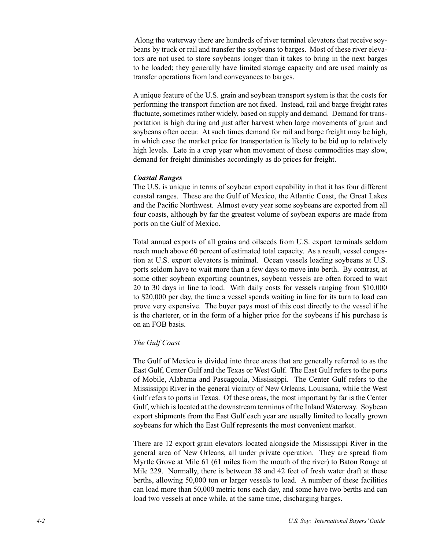Along the waterway there are hundreds of river terminal elevators that receive soybeans by truck or rail and transfer the soybeans to barges. Most of these river elevators are not used to store soybeans longer than it takes to bring in the next barges to be loaded; they generally have limited storage capacity and are used mainly as transfer operations from land conveyances to barges.

A unique feature of the U.S. grain and soybean transport system is that the costs for performing the transport function are not fixed. Instead, rail and barge freight rates fluctuate, sometimes rather widely, based on supply and demand. Demand for transportation is high during and just after harvest when large movements of grain and soybeans often occur. At such times demand for rail and barge freight may be high, in which case the market price for transportation is likely to be bid up to relatively high levels. Late in a crop year when movement of those commodities may slow, demand for freight diminishes accordingly as do prices for freight.

#### *Coastal Ranges*

The U.S. is unique in terms of soybean export capability in that it has four different coastal ranges. These are the Gulf of Mexico, the Atlantic Coast, the Great Lakes and the Pacific Northwest. Almost every year some soybeans are exported from all four coasts, although by far the greatest volume of soybean exports are made from ports on the Gulf of Mexico.

Total annual exports of all grains and oilseeds from U.S. export terminals seldom reach much above 60 percent of estimated total capacity. As a result, vessel congestion at U.S. export elevators is minimal. Ocean vessels loading soybeans at U.S. ports seldom have to wait more than a few days to move into berth. By contrast, at some other soybean exporting countries, soybean vessels are often forced to wait 20 to 30 days in line to load. With daily costs for vessels ranging from \$10,000 to \$20,000 per day, the time a vessel spends waiting in line for its turn to load can prove very expensive. The buyer pays most of this cost directly to the vessel if he is the charterer, or in the form of a higher price for the soybeans if his purchase is on an FOB basis.

#### *The Gulf Coast*

The Gulf of Mexico is divided into three areas that are generally referred to as the East Gulf, Center Gulf and the Texas or West Gulf. The East Gulf refers to the ports of Mobile, Alabama and Pascagoula, Mississippi. The Center Gulf refers to the Mississippi River in the general vicinity of New Orleans, Louisiana, while the West Gulf refers to ports in Texas. Of these areas, the most important by far is the Center Gulf, which is located at the downstream terminus of the Inland Waterway. Soybean export shipments from the East Gulf each year are usually limited to locally grown soybeans for which the East Gulf represents the most convenient market.

There are 12 export grain elevators located alongside the Mississippi River in the general area of New Orleans, all under private operation. They are spread from Myrtle Grove at Mile 61 (61 miles from the mouth of the river) to Baton Rouge at Mile 229. Normally, there is between 38 and 42 feet of fresh water draft at these berths, allowing 50,000 ton or larger vessels to load. A number of these facilities can load more than 50,000 metric tons each day, and some have two berths and can load two vessels at once while, at the same time, discharging barges.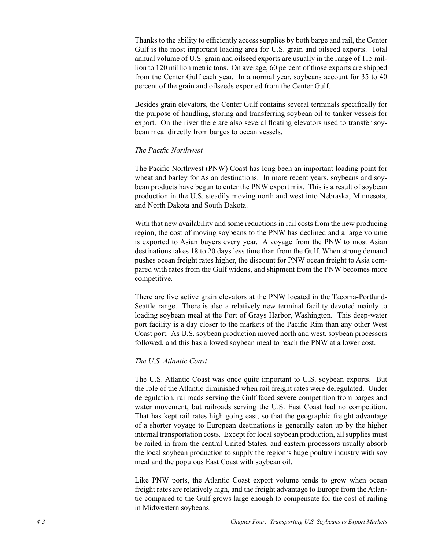Thanks to the ability to efficiently access supplies by both barge and rail, the Center Gulf is the most important loading area for U.S. grain and oilseed exports. Total annual volume of U.S. grain and oilseed exports are usually in the range of 115 million to 120 million metric tons. On average, 60 percent of those exports are shipped from the Center Gulf each year. In a normal year, soybeans account for 35 to 40 percent of the grain and oilseeds exported from the Center Gulf.

Besides grain elevators, the Center Gulf contains several terminals specifically for the purpose of handling, storing and transferring soybean oil to tanker vessels for export. On the river there are also several floating elevators used to transfer soybean meal directly from barges to ocean vessels.

#### *The Pacific Northwest*

The Pacific Northwest (PNW) Coast has long been an important loading point for wheat and barley for Asian destinations. In more recent years, soybeans and soybean products have begun to enter the PNW export mix. This is a result of soybean production in the U.S. steadily moving north and west into Nebraska, Minnesota, and North Dakota and South Dakota.

With that new availability and some reductions in rail costs from the new producing region, the cost of moving soybeans to the PNW has declined and a large volume is exported to Asian buyers every year. A voyage from the PNW to most Asian destinations takes 18 to 20 days less time than from the Gulf. When strong demand pushes ocean freight rates higher, the discount for PNW ocean freight to Asia compared with rates from the Gulf widens, and shipment from the PNW becomes more competitive.

There are five active grain elevators at the PNW located in the Tacoma-Portland-Seattle range. There is also a relatively new terminal facility devoted mainly to loading soybean meal at the Port of Grays Harbor, Washington. This deep-water port facility is a day closer to the markets of the Pacific Rim than any other West Coast port. As U.S. soybean production moved north and west, soybean processors followed, and this has allowed soybean meal to reach the PNW at a lower cost.

## *The U.S. Atlantic Coast*

The U.S. Atlantic Coast was once quite important to U.S. soybean exports. But the role of the Atlantic diminished when rail freight rates were deregulated. Under deregulation, railroads serving the Gulf faced severe competition from barges and water movement, but railroads serving the U.S. East Coast had no competition. That has kept rail rates high going east, so that the geographic freight advantage of a shorter voyage to European destinations is generally eaten up by the higher internal transportation costs. Except for local soybean production, all supplies must be railed in from the central United States, and eastern processors usually absorb the local soybean production to supply the region's huge poultry industry with soy meal and the populous East Coast with soybean oil.

Like PNW ports, the Atlantic Coast export volume tends to grow when ocean freight rates are relatively high, and the freight advantage to Europe from the Atlantic compared to the Gulf grows large enough to compensate for the cost of railing in Midwestern soybeans.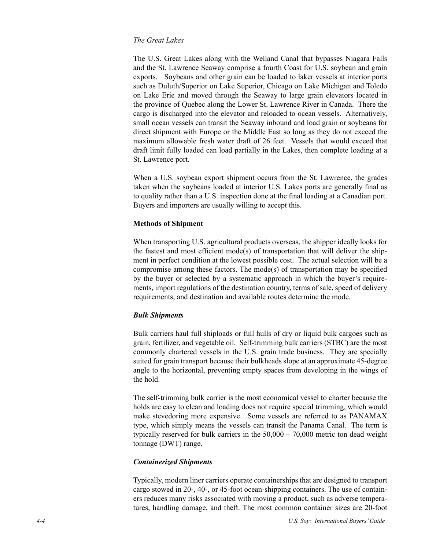## *The Great Lakes*

The U.S. Great Lakes along with the Welland Canal that bypasses Niagara Falls and the St. Lawrence Seaway comprise a fourth Coast for U.S. soybean and grain exports. Soybeans and other grain can be loaded to laker vessels at interior ports such as Duluth/Superior on Lake Superior, Chicago on Lake Michigan and Toledo on Lake Erie and moved through the Seaway to large grain elevators located in the province of Quebec along the Lower St. Lawrence River in Canada. There the cargo is discharged into the elevator and reloaded to ocean vessels. Alternatively, small ocean vessels can transit the Seaway inbound and load grain or soybeans for direct shipment with Europe or the Middle East so long as they do not exceed the maximum allowable fresh water draft of 26 feet. Vessels that would exceed that draft limit fully loaded can load partially in the Lakes, then complete loading at a St. Lawrence port.

When a U.S. soybean export shipment occurs from the St. Lawrence, the grades taken when the soybeans loaded at interior U.S. Lakes ports are generally final as to quality rather than a U.S. inspection done at the final loading at a Canadian port. Buyers and importers are usually willing to accept this.

## **Methods of Shipment**

When transporting U.S. agricultural products overseas, the shipper ideally looks for the fastest and most efficient mode(s) of transportation that will deliver the shipment in perfect condition at the lowest possible cost. The actual selection will be a compromise among these factors. The mode(s) of transportation may be specified by the buyer or selected by a systematic approach in which the buyer's requirements, import regulations of the destination country, terms of sale, speed of delivery requirements, and destination and available routes determine the mode.

## *Bulk Shipments*

Bulk carriers haul full shiploads or full hulls of dry or liquid bulk cargoes such as grain, fertilizer, and vegetable oil. Self-trimming bulk carriers (STBC) are the most commonly chartered vessels in the U.S. grain trade business. They are specially suited for grain transport because their bulkheads slope at an approximate 45-degree angle to the horizontal, preventing empty spaces from developing in the wings of the hold.

The self-trimming bulk carrier is the most economical vessel to charter because the holds are easy to clean and loading does not require special trimming, which would make stevedoring more expensive. Some vessels are referred to as PANAMAX type, which simply means the vessels can transit the Panama Canal. The term is typically reserved for bulk carriers in the  $50,000 - 70,000$  metric ton dead weight tonnage (DWT) range.

## *Containerized Shipments*

Typically, modern liner carriers operate containerships that are designed to transport cargo stowed in 20-, 40-, or 45-foot ocean-shipping containers. The use of containers reduces many risks associated with moving a product, such as adverse temperatures, handling damage, and theft. The most common container sizes are 20-foot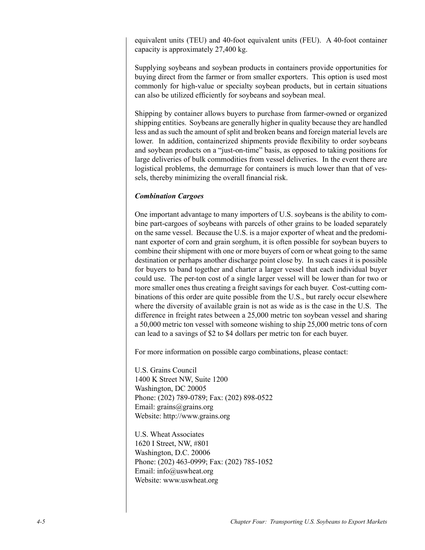equivalent units (TEU) and 40-foot equivalent units (FEU). A 40-foot container capacity is approximately 27,400 kg.

Supplying soybeans and soybean products in containers provide opportunities for buying direct from the farmer or from smaller exporters. This option is used most commonly for high-value or specialty soybean products, but in certain situations can also be utilized efficiently for soybeans and soybean meal.

Shipping by container allows buyers to purchase from farmer-owned or organized shipping entities. Soybeans are generally higher in quality because they are handled less and as such the amount of split and broken beans and foreign material levels are lower. In addition, containerized shipments provide flexibility to order soybeans and soybean products on a "just-on-time" basis, as opposed to taking positions for large deliveries of bulk commodities from vessel deliveries. In the event there are logistical problems, the demurrage for containers is much lower than that of vessels, thereby minimizing the overall financial risk.

#### *Combination Cargoes*

One important advantage to many importers of U.S. soybeans is the ability to combine part-cargoes of soybeans with parcels of other grains to be loaded separately on the same vessel. Because the U.S. is a major exporter of wheat and the predominant exporter of corn and grain sorghum, it is often possible for soybean buyers to combine their shipment with one or more buyers of corn or wheat going to the same destination or perhaps another discharge point close by. In such cases it is possible for buyers to band together and charter a larger vessel that each individual buyer could use. The per-ton cost of a single larger vessel will be lower than for two or more smaller ones thus creating a freight savings for each buyer. Cost-cutting combinations of this order are quite possible from the U.S., but rarely occur elsewhere where the diversity of available grain is not as wide as is the case in the U.S. The difference in freight rates between a 25,000 metric ton soybean vessel and sharing a 50,000 metric ton vessel with someone wishing to ship 25,000 metric tons of corn can lead to a savings of \$2 to \$4 dollars per metric ton for each buyer.

For more information on possible cargo combinations, please contact:

U.S. Grains Council 1400 K Street NW, Suite 1200 Washington, DC 20005 Phone: (202) 789-0789; Fax: (202) 898-0522 Email: grains@grains.org Website: http://www.grains.org

U.S. Wheat Associates 1620 I Street, NW, #801 Washington, D.C. 20006 Phone: (202) 463-0999; Fax: (202) 785-1052 Email: info@uswheat.org Website: www.uswheat.org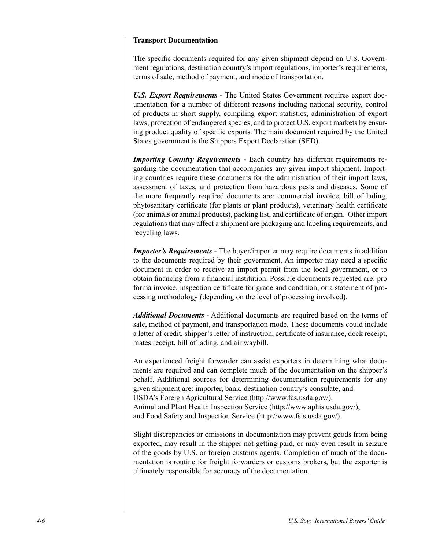#### **Transport Documentation**

The specific documents required for any given shipment depend on U.S. Government regulations, destination country's import regulations, importer's requirements, terms of sale, method of payment, and mode of transportation.

*U.S. Export Requirements* - The United States Government requires export documentation for a number of different reasons including national security, control of products in short supply, compiling export statistics, administration of export laws, protection of endangered species, and to protect U.S. export markets by ensuring product quality of specific exports. The main document required by the United States government is the Shippers Export Declaration (SED).

*Importing Country Requirements* - Each country has different requirements regarding the documentation that accompanies any given import shipment. Importing countries require these documents for the administration of their import laws, assessment of taxes, and protection from hazardous pests and diseases. Some of the more frequently required documents are: commercial invoice, bill of lading, phytosanitary certificate (for plants or plant products), veterinary health certificate (for animals or animal products), packing list, and certificate of origin. Other import regulations that may affect a shipment are packaging and labeling requirements, and recycling laws.

*Importer's Requirements* - The buyer/importer may require documents in addition to the documents required by their government. An importer may need a specific document in order to receive an import permit from the local government, or to obtain financing from a financial institution. Possible documents requested are: pro forma invoice, inspection certificate for grade and condition, or a statement of processing methodology (depending on the level of processing involved).

*Additional Documents* - Additional documents are required based on the terms of sale, method of payment, and transportation mode. These documents could include a letter of credit, shipper's letter of instruction, certificate of insurance, dock receipt, mates receipt, bill of lading, and air waybill.

An experienced freight forwarder can assist exporters in determining what documents are required and can complete much of the documentation on the shipper's behalf. Additional sources for determining documentation requirements for any given shipment are: importer, bank, destination country's consulate, and USDA's Foreign Agricultural Service (http://www.fas.usda.gov/), Animal and Plant Health Inspection Service (http://www.aphis.usda.gov/), and Food Safety and Inspection Service (http://www.fsis.usda.gov/).

Slight discrepancies or omissions in documentation may prevent goods from being exported, may result in the shipper not getting paid, or may even result in seizure of the goods by U.S. or foreign customs agents. Completion of much of the documentation is routine for freight forwarders or customs brokers, but the exporter is ultimately responsible for accuracy of the documentation.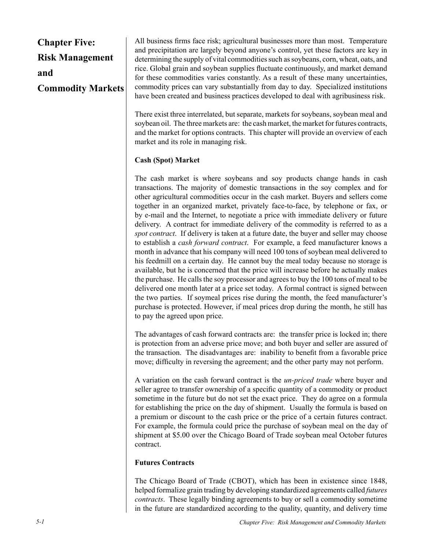## **Chapter Five: Risk Management and Commodity Markets**

All business firms face risk; agricultural businesses more than most. Temperature and precipitation are largely beyond anyone's control, yet these factors are key in determining the supply of vital commodities such as soybeans, corn, wheat, oats, and rice. Global grain and soybean supplies fluctuate continuously, and market demand for these commodities varies constantly. As a result of these many uncertainties, commodity prices can vary substantially from day to day. Specialized institutions have been created and business practices developed to deal with agribusiness risk.

There exist three interrelated, but separate, markets for soybeans, soybean meal and soybean oil. The three markets are: the cash market, the market for futures contracts, and the market for options contracts. This chapter will provide an overview of each market and its role in managing risk.

## **Cash (Spot) Market**

The cash market is where soybeans and soy products change hands in cash transactions. The majority of domestic transactions in the soy complex and for other agricultural commodities occur in the cash market. Buyers and sellers come together in an organized market, privately face-to-face, by telephone or fax, or by e-mail and the Internet, to negotiate a price with immediate delivery or future delivery. A contract for immediate delivery of the commodity is referred to as a *spot contract*. If delivery is taken at a future date, the buyer and seller may choose to establish a *cash forward contract*. For example, a feed manufacturer knows a month in advance that his company will need 100 tons of soybean meal delivered to his feedmill on a certain day. He cannot buy the meal today because no storage is available, but he is concerned that the price will increase before he actually makes the purchase. He calls the soy processor and agrees to buy the 100 tons of meal to be delivered one month later at a price set today. A formal contract is signed between the two parties. If soymeal prices rise during the month, the feed manufacturer's purchase is protected. However, if meal prices drop during the month, he still has to pay the agreed upon price.

The advantages of cash forward contracts are: the transfer price is locked in; there is protection from an adverse price move; and both buyer and seller are assured of the transaction. The disadvantages are: inability to benefit from a favorable price move; difficulty in reversing the agreement; and the other party may not perform.

A variation on the cash forward contract is the *un-priced trade* where buyer and seller agree to transfer ownership of a specific quantity of a commodity or product sometime in the future but do not set the exact price. They do agree on a formula for establishing the price on the day of shipment. Usually the formula is based on a premium or discount to the cash price or the price of a certain futures contract. For example, the formula could price the purchase of soybean meal on the day of shipment at \$5.00 over the Chicago Board of Trade soybean meal October futures contract.

## **Futures Contracts**

The Chicago Board of Trade (CBOT), which has been in existence since 1848, helped formalize grain trading by developing standardized agreements called *futures contracts*. These legally binding agreements to buy or sell a commodity sometime in the future are standardized according to the quality, quantity, and delivery time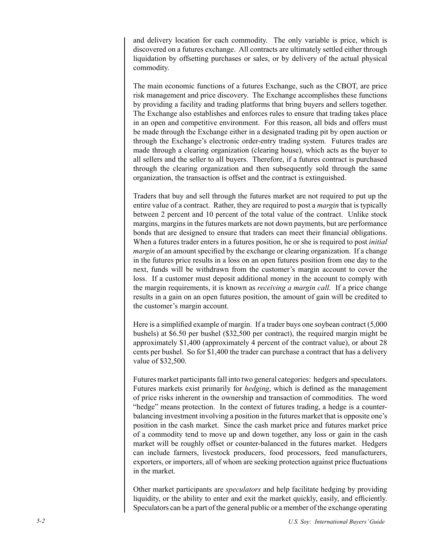and delivery location for each commodity. The only variable is price, which is discovered on a futures exchange. All contracts are ultimately settled either through liquidation by offsetting purchases or sales, or by delivery of the actual physical commodity.

The main economic functions of a futures Exchange, such as the CBOT, are price risk management and price discovery. The Exchange accomplishes these functions by providing a facility and trading platforms that bring buyers and sellers together. The Exchange also establishes and enforces rules to ensure that trading takes place in an open and competitive environment. For this reason, all bids and offers must be made through the Exchange either in a designated trading pit by open auction or through the Exchange's electronic order-entry trading system. Futures trades are made through a clearing organization (clearing house), which acts as the buyer to all sellers and the seller to all buyers. Therefore, if a futures contract is purchased through the clearing organization and then subsequently sold through the same organization, the transaction is offset and the contract is extinguished.

Traders that buy and sell through the futures market are not required to put up the entire value of a contract. Rather, they are required to post a *margin* that is typically between 2 percent and 10 percent of the total value of the contract. Unlike stock margins, margins in the futures markets are not down payments, but are performance bonds that are designed to ensure that traders can meet their financial obligations. When a futures trader enters in a futures position, he or she is required to post *initial margin* of an amount specified by the exchange or clearing organization. If a change in the futures price results in a loss on an open futures position from one day to the next, funds will be withdrawn from the customer's margin account to cover the loss. If a customer must deposit additional money in the account to comply with the margin requirements, it is known as *receiving a margin call.* If a price change results in a gain on an open futures position, the amount of gain will be credited to the customer's margin account.

Here is a simplified example of margin. If a trader buys one soybean contract (5,000 bushels) at \$6.50 per bushel (\$32,500 per contract), the required margin might be approximately \$1,400 (approximately 4 percent of the contract value), or about 28 cents per bushel. So for \$1,400 the trader can purchase a contract that has a delivery value of \$32,500.

Futures market participants fall into two general categories: hedgers and speculators. Futures markets exist primarily for *hedging*, which is defined as the management of price risks inherent in the ownership and transaction of commodities. The word "hedge" means protection. In the context of futures trading, a hedge is a counterbalancing investment involving a position in the futures market that is opposite one's position in the cash market. Since the cash market price and futures market price of a commodity tend to move up and down together, any loss or gain in the cash market will be roughly offset or counter-balanced in the futures market. Hedgers can include farmers, livestock producers, food processors, feed manufacturers, exporters, or importers, all of whom are seeking protection against price fluctuations in the market.

Other market participants are *speculators* and help facilitate hedging by providing liquidity, or the ability to enter and exit the market quickly, easily, and efficiently. Speculators can be a part of the general public or a member of the exchange operating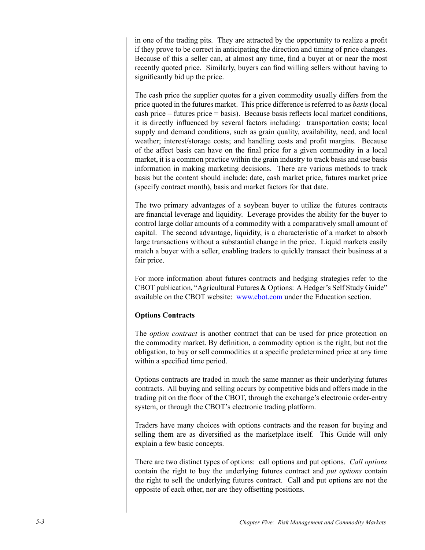in one of the trading pits. They are attracted by the opportunity to realize a profit if they prove to be correct in anticipating the direction and timing of price changes. Because of this a seller can, at almost any time, find a buyer at or near the most recently quoted price. Similarly, buyers can find willing sellers without having to significantly bid up the price.

The cash price the supplier quotes for a given commodity usually differs from the price quoted in the futures market. This price difference is referred to as *basis* (local cash price – futures price = basis). Because basis reflects local market conditions, it is directly influenced by several factors including: transportation costs; local supply and demand conditions, such as grain quality, availability, need, and local weather; interest/storage costs; and handling costs and profit margins. Because of the affect basis can have on the final price for a given commodity in a local market, it is a common practice within the grain industry to track basis and use basis information in making marketing decisions. There are various methods to track basis but the content should include: date, cash market price, futures market price (specify contract month), basis and market factors for that date.

The two primary advantages of a soybean buyer to utilize the futures contracts are financial leverage and liquidity. Leverage provides the ability for the buyer to control large dollar amounts of a commodity with a comparatively small amount of capital. The second advantage, liquidity, is a characteristic of a market to absorb large transactions without a substantial change in the price. Liquid markets easily match a buyer with a seller, enabling traders to quickly transact their business at a fair price.

For more information about futures contracts and hedging strategies refer to the CBOT publication, "Agricultural Futures & Options: A Hedger's Self Study Guide" available on the CBOT website: www.cbot.com under the Education section.

## **Options Contracts**

The *option contract* is another contract that can be used for price protection on the commodity market. By definition, a commodity option is the right, but not the obligation, to buy or sell commodities at a specific predetermined price at any time within a specified time period.

Options contracts are traded in much the same manner as their underlying futures contracts. All buying and selling occurs by competitive bids and offers made in the trading pit on the floor of the CBOT, through the exchange's electronic order-entry system, or through the CBOT's electronic trading platform.

Traders have many choices with options contracts and the reason for buying and selling them are as diversified as the marketplace itself. This Guide will only explain a few basic concepts.

There are two distinct types of options: call options and put options. *Call options* contain the right to buy the underlying futures contract and *put options* contain the right to sell the underlying futures contract. Call and put options are not the opposite of each other, nor are they offsetting positions.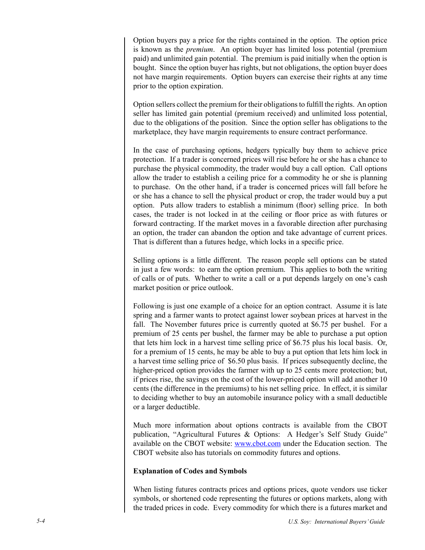Option buyers pay a price for the rights contained in the option. The option price is known as the *premium*. An option buyer has limited loss potential (premium paid) and unlimited gain potential. The premium is paid initially when the option is bought. Since the option buyer has rights, but not obligations, the option buyer does not have margin requirements. Option buyers can exercise their rights at any time prior to the option expiration.

Option sellers collect the premium for their obligations to fulfill the rights. An option seller has limited gain potential (premium received) and unlimited loss potential, due to the obligations of the position. Since the option seller has obligations to the marketplace, they have margin requirements to ensure contract performance.

In the case of purchasing options, hedgers typically buy them to achieve price protection. If a trader is concerned prices will rise before he or she has a chance to purchase the physical commodity, the trader would buy a call option. Call options allow the trader to establish a ceiling price for a commodity he or she is planning to purchase. On the other hand, if a trader is concerned prices will fall before he or she has a chance to sell the physical product or crop, the trader would buy a put option. Puts allow traders to establish a minimum (floor) selling price. In both cases, the trader is not locked in at the ceiling or floor price as with futures or forward contracting. If the market moves in a favorable direction after purchasing an option, the trader can abandon the option and take advantage of current prices. That is different than a futures hedge, which locks in a specific price.

Selling options is a little different. The reason people sell options can be stated in just a few words: to earn the option premium. This applies to both the writing of calls or of puts. Whether to write a call or a put depends largely on one's cash market position or price outlook.

Following is just one example of a choice for an option contract. Assume it is late spring and a farmer wants to protect against lower soybean prices at harvest in the fall. The November futures price is currently quoted at \$6.75 per bushel. For a premium of 25 cents per bushel, the farmer may be able to purchase a put option that lets him lock in a harvest time selling price of \$6.75 plus his local basis. Or, for a premium of 15 cents, he may be able to buy a put option that lets him lock in a harvest time selling price of \$6.50 plus basis. If prices subsequently decline, the higher-priced option provides the farmer with up to 25 cents more protection; but, if prices rise, the savings on the cost of the lower-priced option will add another 10 cents (the difference in the premiums) to his net selling price. In effect, it is similar to deciding whether to buy an automobile insurance policy with a small deductible or a larger deductible.

Much more information about options contracts is available from the CBOT publication, "Agricultural Futures & Options: A Hedger's Self Study Guide" available on the CBOT website: www.cbot.com under the Education section. The CBOT website also has tutorials on commodity futures and options.

#### **Explanation of Codes and Symbols**

When listing futures contracts prices and options prices, quote vendors use ticker symbols, or shortened code representing the futures or options markets, along with the traded prices in code. Every commodity for which there is a futures market and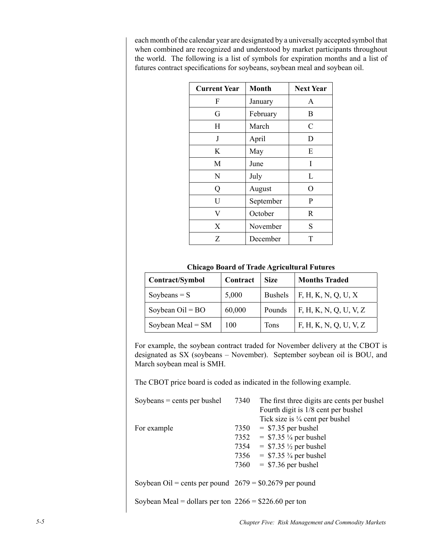each month of the calendar year are designated by a universally accepted symbol that when combined are recognized and understood by market participants throughout the world. The following is a list of symbols for expiration months and a list of futures contract specifications for soybeans, soybean meal and soybean oil.

| <b>Current Year</b> | <b>Month</b> | <b>Next Year</b> |
|---------------------|--------------|------------------|
| F                   | January      | A                |
| G                   | February     | B                |
| H                   | March        | C                |
| J                   | April        | D                |
| K                   | May          | E                |
| M                   | June         | I                |
| N                   | July         | L                |
| Q                   | August       | O                |
| U                   | September    | P                |
| V                   | October      | R                |
| X                   | November     | S                |
| Z                   | December     | T                |

#### **Chicago Board of Trade Agricultural Futures**

| Contract/Symbol     | Contract | <b>Size</b>    | <b>Months Traded</b>   |
|---------------------|----------|----------------|------------------------|
| Soybeans $= S$      | 5,000    | <b>Bushels</b> | F, H, K, N, Q, U, X    |
| Soybean $Oil = BO$  | 60,000   | Pounds         | F, H, K, N, Q, U, V, Z |
| Soybean Meal = $SM$ | 100      | <b>Tons</b>    | F, H, K, N, Q, U, V, Z |

For example, the soybean contract traded for November delivery at the CBOT is designated as SX (soybeans – November). September soybean oil is BOU, and March soybean meal is SMH.

The CBOT price board is coded as indicated in the following example.

| Soybeans $=$ cents per bushel                            | 7340 | The first three digits are cents per bushel<br>Fourth digit is 1/8 cent per bushel |
|----------------------------------------------------------|------|------------------------------------------------------------------------------------|
|                                                          |      | Tick size is $\frac{1}{4}$ cent per bushel                                         |
| For example                                              |      | $7350 = $7.35$ per bushel                                                          |
|                                                          |      | 7352 = $$7.35\frac{1}{4}$ per bushel                                               |
|                                                          |      | 7354 = $$7.35\frac{1}{2}$ per bushel                                               |
|                                                          |      | 7356 = $$7.35\frac{3}{4}$ per bushel                                               |
|                                                          | 7360 | $=$ \$7.36 per bushel                                                              |
| Soybean Oil = cents per pound $2679 = $0.2679$ per pound |      |                                                                                    |
| Soybean Meal = dollars per ton $2266 = $226.60$ per ton  |      |                                                                                    |

*5- Chapter Five: Risk Management and Commodity Markets*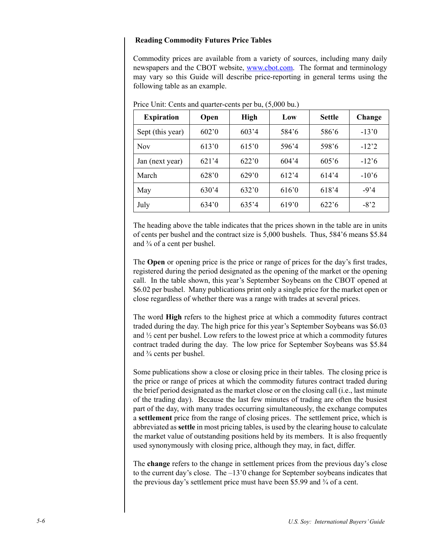#### **Reading Commodity Futures Price Tables**

Commodity prices are available from a variety of sources, including many daily newspapers and the CBOT website, www.cbot.com. The format and terminology may vary so this Guide will describe price-reporting in general terms using the following table as an example.

| <b>Expiration</b> | Open  | <b>High</b> | Low   | <b>Settle</b>  | Change     |
|-------------------|-------|-------------|-------|----------------|------------|
| Sept (this year)  | 602'0 | 603'4       | 584'6 | 586'6          | $-13'0$    |
| <b>Nov</b>        | 613'0 | 615'0       | 596'4 | 598'6          | $-122$     |
| Jan (next year)   | 621'4 | 622'0       | 604'4 | 605'6          | $-12.6$    |
| March             | 628'0 | 629'0       | 612'4 | 614'4          | $-10^{3}6$ |
| May               | 630'4 | 632'0       | 616'0 | 618'4          | $-924$     |
| July              | 634'0 | 635'4       | 619'0 | $622^{\circ}6$ | $-82$      |

Price Unit: Cents and quarter-cents per bu, (5,000 bu.)

The heading above the table indicates that the prices shown in the table are in units of cents per bushel and the contract size is 5,000 bushels. Thus, 584'6 means \$5.84 and ¾ of a cent per bushel.

The **Open** or opening price is the price or range of prices for the day's first trades, registered during the period designated as the opening of the market or the opening call. In the table shown, this year's September Soybeans on the CBOT opened at \$6.02 per bushel. Many publications print only a single price for the market open or close regardless of whether there was a range with trades at several prices.

The word **High** refers to the highest price at which a commodity futures contract traded during the day. The high price for this year's September Soybeans was \$6.03 and ½ cent per bushel. Low refers to the lowest price at which a commodity futures contract traded during the day. The low price for September Soybeans was \$5.84 and  $\frac{3}{4}$  cents per bushel.

Some publications show a close or closing price in their tables. The closing price is the price or range of prices at which the commodity futures contract traded during the brief period designated as the market close or on the closing call (i.e., last minute of the trading day). Because the last few minutes of trading are often the busiest part of the day, with many trades occurring simultaneously, the exchange computes a **settlement** price from the range of closing prices. The settlement price, which is abbreviated as **settle** in most pricing tables, is used by the clearing house to calculate the market value of outstanding positions held by its members. It is also frequently used synonymously with closing price, although they may, in fact, differ.

The **change** refers to the change in settlement prices from the previous day's close to the current day's close. The –13'0 change for September soybeans indicates that the previous day's settlement price must have been \$5.99 and ¾ of a cent.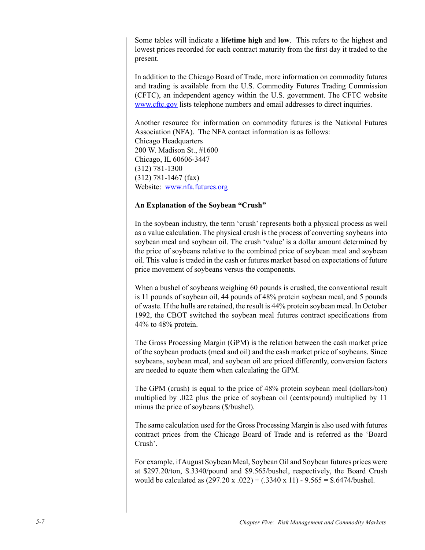Some tables will indicate a **lifetime high** and **low**. This refers to the highest and lowest prices recorded for each contract maturity from the first day it traded to the present.

In addition to the Chicago Board of Trade, more information on commodity futures and trading is available from the U.S. Commodity Futures Trading Commission (CFTC), an independent agency within the U.S. government. The CFTC website www.cftc.gov lists telephone numbers and email addresses to direct inquiries.

Another resource for information on commodity futures is the National Futures Association (NFA). The NFA contact information is as follows: Chicago Headquarters 200 W. Madison St., #1600 Chicago, IL 60606-3447 (312) 781-1300 (312) 781-1467 (fax) Website: www.nfa.futures.org

#### **An Explanation of the Soybean "Crush"**

In the soybean industry, the term 'crush' represents both a physical process as well as a value calculation. The physical crush is the process of converting soybeans into soybean meal and soybean oil. The crush 'value' is a dollar amount determined by the price of soybeans relative to the combined price of soybean meal and soybean oil. This value is traded in the cash or futures market based on expectations of future price movement of soybeans versus the components.

When a bushel of soybeans weighing 60 pounds is crushed, the conventional result is 11 pounds of soybean oil, 44 pounds of 48% protein soybean meal, and 5 pounds of waste. If the hulls are retained, the result is 44% protein soybean meal. In October 1992, the CBOT switched the soybean meal futures contract specifications from 44% to 48% protein.

The Gross Processing Margin (GPM) is the relation between the cash market price of the soybean products (meal and oil) and the cash market price of soybeans. Since soybeans, soybean meal, and soybean oil are priced differently, conversion factors are needed to equate them when calculating the GPM.

The GPM (crush) is equal to the price of 48% protein soybean meal (dollars/ton) multiplied by .022 plus the price of soybean oil (cents/pound) multiplied by 11 minus the price of soybeans (\$/bushel).

The same calculation used for the Gross Processing Margin is also used with futures contract prices from the Chicago Board of Trade and is referred as the 'Board Crush'.

For example, if August Soybean Meal, Soybean Oil and Soybean futures prices were at \$297.20/ton, \$.3340/pound and \$9.565/bushel, respectively, the Board Crush would be calculated as  $(297.20 \text{ x } .022) + (.3340 \text{ x } 11) - 9.565 = $.6474/\text{bushel.}$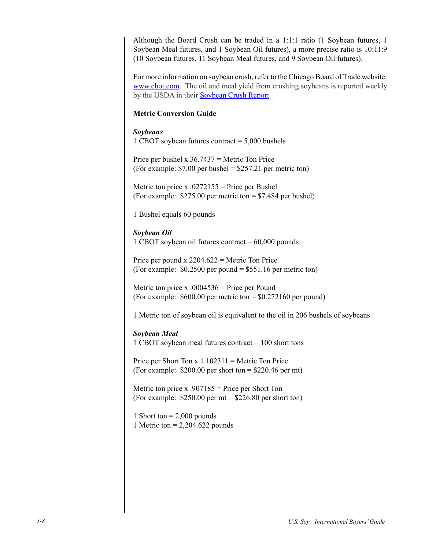Although the Board Crush can be traded in a 1:1:1 ratio (1 Soybean futures, 1 Soybean Meal futures, and 1 Soybean Oil futures), a more precise ratio is 10:11:9 (10 Soybean futures, 11 Soybean Meal futures, and 9 Soybean Oil futures).

For more information on soybean crush, refer to the Chicago Board of Trade website: www.cbot.com. The oil and meal yield from crushing soybeans is reported weekly by the USDA in their Soybean Crush Report.

#### **Metric Conversion Guide**

#### *Soybeans*

1 CBOT soybean futures contract = 5,000 bushels

Price per bushel x  $36.7437$  = Metric Ton Price (For example:  $$7.00$  per bushel =  $$257.21$  per metric ton)

Metric ton price x  $.0272155$  = Price per Bushel (For example: \$275.00 per metric ton = \$7.484 per bushel)

1 Bushel equals 60 pounds

#### *Soybean Oil*

1 CBOT soybean oil futures contract  $= 60,000$  pounds

Price per pound  $x$  2204.622 = Metric Ton Price (For example: \$0.2500 per pound = \$551.16 per metric ton)

Metric ton price x  $.0004536$  = Price per Pound (For example:  $$600.00$  per metric ton  $= $0.272160$  per pound)

1 Metric ton of soybean oil is equivalent to the oil in 206 bushels of soybeans

#### *Soybean Meal*

1 CBOT soybean meal futures contract = 100 short tons

Price per Short Ton  $x 1.102311$  = Metric Ton Price (For example:  $$200.00$  per short ton =  $$220.46$  per mt)

Metric ton price x  $.907185$  = Price per Short Ton (For example:  $$250.00$  per mt =  $$226.80$  per short ton)

1 Short ton  $= 2,000$  pounds 1 Metric ton = 2,204.622 pounds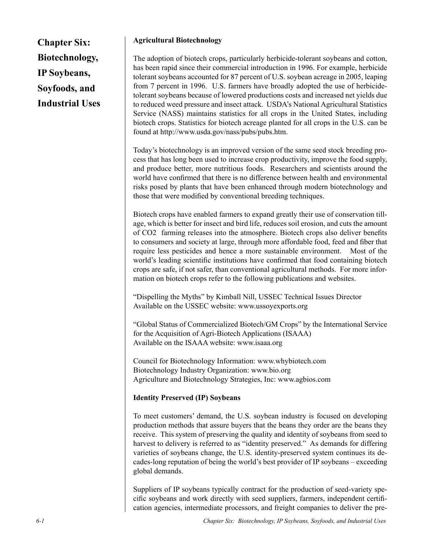**Chapter Six: Biotechnology, IP Soybeans, Soyfoods, and Industrial Uses**

#### **Agricultural Biotechnology**

The adoption of biotech crops, particularly herbicide-tolerant soybeans and cotton, has been rapid since their commercial introduction in 1996. For example, herbicide tolerant soybeans accounted for 87 percent of U.S. soybean acreage in 2005, leaping from 7 percent in 1996. U.S. farmers have broadly adopted the use of herbicidetolerant soybeans because of lowered productions costs and increased net yields due to reduced weed pressure and insect attack. USDA's National Agricultural Statistics Service (NASS) maintains statistics for all crops in the United States, including biotech crops. Statistics for biotech acreage planted for all crops in the U.S. can be found at http://www.usda.gov/nass/pubs/pubs.htm.

Today's biotechnology is an improved version of the same seed stock breeding process that has long been used to increase crop productivity, improve the food supply, and produce better, more nutritious foods. Researchers and scientists around the world have confirmed that there is no difference between health and environmental risks posed by plants that have been enhanced through modern biotechnology and those that were modified by conventional breeding techniques.

Biotech crops have enabled farmers to expand greatly their use of conservation tillage, which is better for insect and bird life, reduces soil erosion, and cuts the amount of CO2 farming releases into the atmosphere. Biotech crops also deliver benefits to consumers and society at large, through more affordable food, feed and fiber that require less pesticides and hence a more sustainable environment. Most of the world's leading scientific institutions have confirmed that food containing biotech crops are safe, if not safer, than conventional agricultural methods. For more information on biotech crops refer to the following publications and websites.

"Dispelling the Myths" by Kimball Nill, USSEC Technical Issues Director Available on the USSEC website: www.ussoyexports.org

"Global Status of Commercialized Biotech/GM Crops" by the International Service for the Acquisition of Agri-Biotech Applications (ISAAA) Available on the ISAAA website: www.isaaa.org

Council for Biotechnology Information: www.whybiotech.com Biotechnology Industry Organization: www.bio.org Agriculture and Biotechnology Strategies, Inc: www.agbios.com

## **Identity Preserved (IP) Soybeans**

To meet customers' demand, the U.S. soybean industry is focused on developing production methods that assure buyers that the beans they order are the beans they receive. This system of preserving the quality and identity of soybeans from seed to harvest to delivery is referred to as "identity preserved." As demands for differing varieties of soybeans change, the U.S. identity-preserved system continues its decades-long reputation of being the world's best provider of IP soybeans – exceeding global demands.

Suppliers of IP soybeans typically contract for the production of seed-variety specific soybeans and work directly with seed suppliers, farmers, independent certification agencies, intermediate processors, and freight companies to deliver the pre-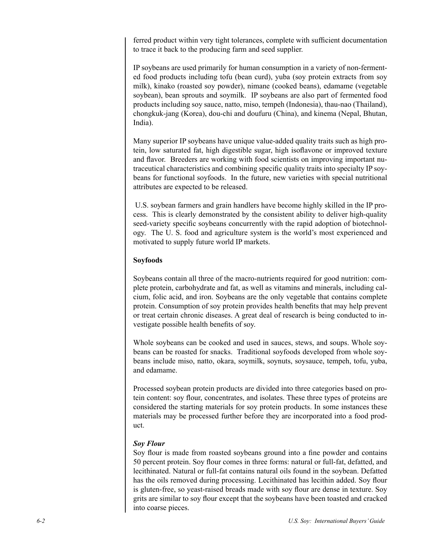ferred product within very tight tolerances, complete with sufficient documentation to trace it back to the producing farm and seed supplier.

IP soybeans are used primarily for human consumption in a variety of non-fermented food products including tofu (bean curd), yuba (soy protein extracts from soy milk), kinako (roasted soy powder), nimane (cooked beans), edamame (vegetable soybean), bean sprouts and soymilk. IP soybeans are also part of fermented food products including soy sauce, natto, miso, tempeh (Indonesia), thau-nao (Thailand), chongkuk-jang (Korea), dou-chi and doufuru (China), and kinema (Nepal, Bhutan, India).

Many superior IP soybeans have unique value-added quality traits such as high protein, low saturated fat, high digestible sugar, high isoflavone or improved texture and flavor. Breeders are working with food scientists on improving important nutraceutical characteristics and combining specific quality traits into specialty IP soybeans for functional soyfoods. In the future, new varieties with special nutritional attributes are expected to be released.

 U.S. soybean farmers and grain handlers have become highly skilled in the IP process. This is clearly demonstrated by the consistent ability to deliver high-quality seed-variety specific soybeans concurrently with the rapid adoption of biotechnology. The U. S. food and agriculture system is the world's most experienced and motivated to supply future world IP markets.

#### **Soyfoods**

Soybeans contain all three of the macro-nutrients required for good nutrition: complete protein, carbohydrate and fat, as well as vitamins and minerals, including calcium, folic acid, and iron. Soybeans are the only vegetable that contains complete protein. Consumption of soy protein provides health benefits that may help prevent or treat certain chronic diseases. A great deal of research is being conducted to investigate possible health benefits of soy.

Whole soybeans can be cooked and used in sauces, stews, and soups. Whole soybeans can be roasted for snacks. Traditional soyfoods developed from whole soybeans include miso, natto, okara, soymilk, soynuts, soysauce, tempeh, tofu, yuba, and edamame.

Processed soybean protein products are divided into three categories based on protein content: soy flour, concentrates, and isolates. These three types of proteins are considered the starting materials for soy protein products. In some instances these materials may be processed further before they are incorporated into a food product.

#### *Soy Flour*

Soy flour is made from roasted soybeans ground into a fine powder and contains 50 percent protein. Soy flour comes in three forms: natural or full-fat, defatted, and lecithinated. Natural or full-fat contains natural oils found in the soybean. Defatted has the oils removed during processing. Lecithinated has lecithin added. Soy flour is gluten-free, so yeast-raised breads made with soy flour are dense in texture. Soy grits are similar to soy flour except that the soybeans have been toasted and cracked into coarse pieces.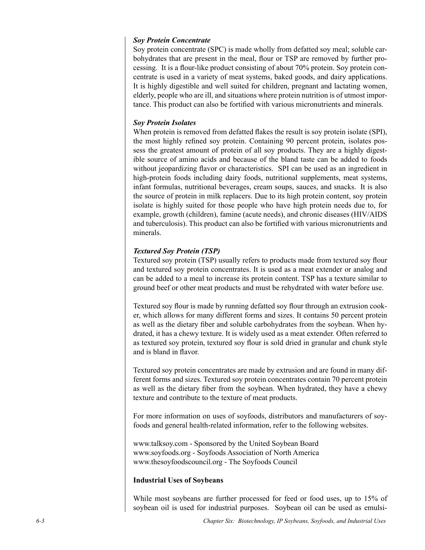#### *Soy Protein Concentrate*

Soy protein concentrate (SPC) is made wholly from defatted soy meal; soluble carbohydrates that are present in the meal, flour or TSP are removed by further processing. It is a flour-like product consisting of about 70% protein. Soy protein concentrate is used in a variety of meat systems, baked goods, and dairy applications. It is highly digestible and well suited for children, pregnant and lactating women, elderly, people who are ill, and situations where protein nutrition is of utmost importance. This product can also be fortified with various micronutrients and minerals.

#### *Soy Protein Isolates*

When protein is removed from defatted flakes the result is soy protein isolate (SPI), the most highly refined soy protein. Containing 90 percent protein, isolates possess the greatest amount of protein of all soy products. They are a highly digestible source of amino acids and because of the bland taste can be added to foods without jeopardizing flavor or characteristics. SPI can be used as an ingredient in high-protein foods including dairy foods, nutritional supplements, meat systems, infant formulas, nutritional beverages, cream soups, sauces, and snacks. It is also the source of protein in milk replacers. Due to its high protein content, soy protein isolate is highly suited for those people who have high protein needs due to, for example, growth (children), famine (acute needs), and chronic diseases (HIV/AIDS and tuberculosis). This product can also be fortified with various micronutrients and minerals.

#### *Textured Soy Protein (TSP)*

Textured soy protein (TSP) usually refers to products made from textured soy flour and textured soy protein concentrates. It is used as a meat extender or analog and can be added to a meal to increase its protein content. TSP has a texture similar to ground beef or other meat products and must be rehydrated with water before use.

Textured soy flour is made by running defatted soy flour through an extrusion cooker, which allows for many different forms and sizes. It contains 50 percent protein as well as the dietary fiber and soluble carbohydrates from the soybean. When hydrated, it has a chewy texture. It is widely used as a meat extender. Often referred to as textured soy protein, textured soy flour is sold dried in granular and chunk style and is bland in flavor.

Textured soy protein concentrates are made by extrusion and are found in many different forms and sizes. Textured soy protein concentrates contain 70 percent protein as well as the dietary fiber from the soybean. When hydrated, they have a chewy texture and contribute to the texture of meat products.

For more information on uses of soyfoods, distributors and manufacturers of soyfoods and general health-related information, refer to the following websites.

www.talksoy.com - Sponsored by the United Soybean Board www.soyfoods.org - Soyfoods Association of North America www.thesoyfoodscouncil.org - The Soyfoods Council

#### **Industrial Uses of Soybeans**

While most soybeans are further processed for feed or food uses, up to 15% of soybean oil is used for industrial purposes. Soybean oil can be used as emulsi-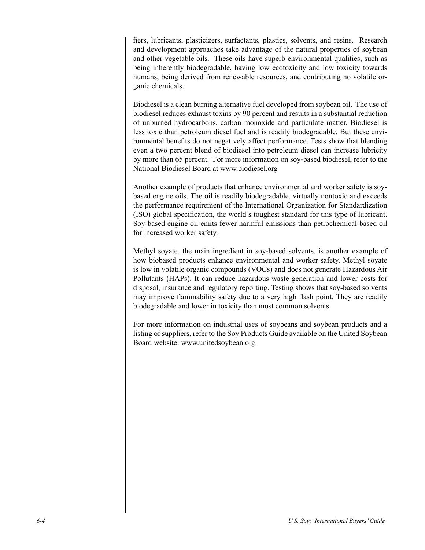fiers, lubricants, plasticizers, surfactants, plastics, solvents, and resins. Research and development approaches take advantage of the natural properties of soybean and other vegetable oils. These oils have superb environmental qualities, such as being inherently biodegradable, having low ecotoxicity and low toxicity towards humans, being derived from renewable resources, and contributing no volatile organic chemicals.

Biodiesel is a clean burning alternative fuel developed from soybean oil. The use of biodiesel reduces exhaust toxins by 90 percent and results in a substantial reduction of unburned hydrocarbons, carbon monoxide and particulate matter. Biodiesel is less toxic than petroleum diesel fuel and is readily biodegradable. But these environmental benefits do not negatively affect performance. Tests show that blending even a two percent blend of biodiesel into petroleum diesel can increase lubricity by more than 65 percent. For more information on soy-based biodiesel, refer to the National Biodiesel Board at www.biodiesel.org

Another example of products that enhance environmental and worker safety is soybased engine oils. The oil is readily biodegradable, virtually nontoxic and exceeds the performance requirement of the International Organization for Standardization (ISO) global specification, the world's toughest standard for this type of lubricant. Soy-based engine oil emits fewer harmful emissions than petrochemical-based oil for increased worker safety.

Methyl soyate, the main ingredient in soy-based solvents, is another example of how biobased products enhance environmental and worker safety. Methyl soyate is low in volatile organic compounds (VOCs) and does not generate Hazardous Air Pollutants (HAPs). It can reduce hazardous waste generation and lower costs for disposal, insurance and regulatory reporting. Testing shows that soy-based solvents may improve flammability safety due to a very high flash point. They are readily biodegradable and lower in toxicity than most common solvents.

For more information on industrial uses of soybeans and soybean products and a listing of suppliers, refer to the Soy Products Guide available on the United Soybean Board website: www.unitedsoybean.org.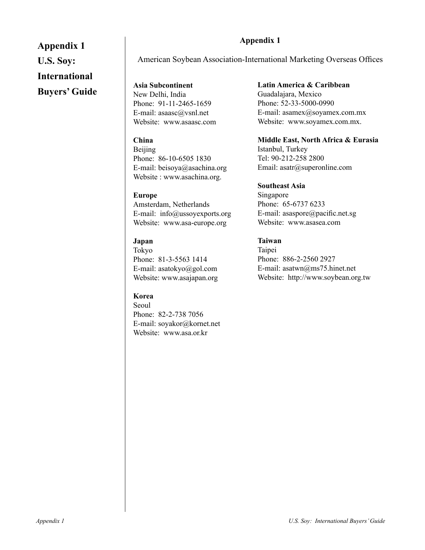# **Appendix 1 U.S. Soy:**

## **International**

## **Buyers' Guide**

## **Appendix 1**

American Soybean Association-International Marketing Overseas Offices

**Asia Subcontinent** New Delhi, India Phone: 91-11-2465-1659 E-mail: asaasc@vsnl.net Website: www.asaasc.com

## **China**

Beijing Phone: 86-10-6505 1830 E-mail: beisoya@asachina.org Website : www.asachina.org.

## **Europe**

Amsterdam, Netherlands E-mail: info@ussoyexports.org Website: www.asa-europe.org

## **Japan**

Tokyo Phone: 81-3-5563 1414 E-mail: asatokyo@gol.com Website: www.asajapan.org

## **Korea**

Seoul Phone: 82-2-738 7056 E-mail: soyakor@kornet.net Website: www.asa.or.kr

## **Latin America & Caribbean** Guadalajara, Mexico Phone: 52-33-5000-0990

E-mail: asamex@soyamex.com.mx Website: www.soyamex.com.mx.

**Middle East, North Africa & Eurasia** Istanbul, Turkey Tel: 90-212-258 2800 Email: asatr@superonline.com

## **Southeast Asia**

Singapore Phone: 65-6737 6233 E-mail: asaspore@pacific.net.sg Website: www.asasea.com

## **Taiwan**

Taipei Phone: 886-2-2560 2927 E-mail: asatwn@ms75.hinet.net Website: http://www.soybean.org.tw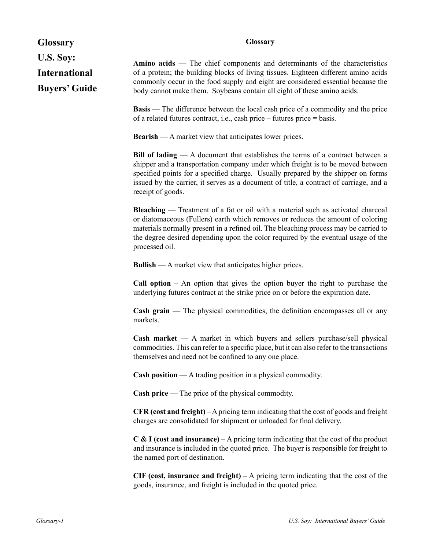| <b>Glossary</b>                                           | <b>Glossary</b>                                                                                                                                                                                                                                                                                                                                                           |  |  |  |
|-----------------------------------------------------------|---------------------------------------------------------------------------------------------------------------------------------------------------------------------------------------------------------------------------------------------------------------------------------------------------------------------------------------------------------------------------|--|--|--|
| U.S. Soy:<br><b>International</b><br><b>Buyers' Guide</b> | Amino acids — The chief components and determinants of the characteristics<br>of a protein; the building blocks of living tissues. Eighteen different amino acids<br>commonly occur in the food supply and eight are considered essential because the<br>body cannot make them. Soybeans contain all eight of these amino acids.                                          |  |  |  |
|                                                           | <b>Basis</b> — The difference between the local cash price of a commodity and the price<br>of a related futures contract, i.e., cash price – futures price = basis.                                                                                                                                                                                                       |  |  |  |
|                                                           | <b>Bearish</b> — A market view that anticipates lower prices.                                                                                                                                                                                                                                                                                                             |  |  |  |
|                                                           | Bill of lading $- A$ document that establishes the terms of a contract between a<br>shipper and a transportation company under which freight is to be moved between<br>specified points for a specified charge. Usually prepared by the shipper on forms<br>issued by the carrier, it serves as a document of title, a contract of carriage, and a<br>receipt of goods.   |  |  |  |
|                                                           | <b>Bleaching</b> — Treatment of a fat or oil with a material such as activated charcoal<br>or diatomaceous (Fullers) earth which removes or reduces the amount of coloring<br>materials normally present in a refined oil. The bleaching process may be carried to<br>the degree desired depending upon the color required by the eventual usage of the<br>processed oil. |  |  |  |
|                                                           | <b>Bullish</b> — A market view that anticipates higher prices.                                                                                                                                                                                                                                                                                                            |  |  |  |
|                                                           | <b>Call option</b> $-$ An option that gives the option buyer the right to purchase the<br>underlying futures contract at the strike price on or before the expiration date.                                                                                                                                                                                               |  |  |  |
|                                                           | $\mathbf{Cash}$ grain — The physical commodities, the definition encompasses all or any<br>markets.                                                                                                                                                                                                                                                                       |  |  |  |
|                                                           | Cash market $-$ A market in which buyers and sellers purchase/sell physical<br>commodities. This can refer to a specific place, but it can also refer to the transactions<br>themselves and need not be confined to any one place.                                                                                                                                        |  |  |  |
|                                                           | <b>Cash position</b> $- A$ trading position in a physical commodity.                                                                                                                                                                                                                                                                                                      |  |  |  |
|                                                           | Cash price — The price of the physical commodity.                                                                                                                                                                                                                                                                                                                         |  |  |  |
|                                                           | CFR (cost and freight) $-A$ pricing term indicating that the cost of goods and freight<br>charges are consolidated for shipment or unloaded for final delivery.                                                                                                                                                                                                           |  |  |  |
|                                                           | $C$ & I (cost and insurance) – A pricing term indicating that the cost of the product<br>and insurance is included in the quoted price. The buyer is responsible for freight to<br>the named port of destination.                                                                                                                                                         |  |  |  |
|                                                           | CIF (cost, insurance and freight) $-A$ pricing term indicating that the cost of the<br>goods, insurance, and freight is included in the quoted price.                                                                                                                                                                                                                     |  |  |  |

I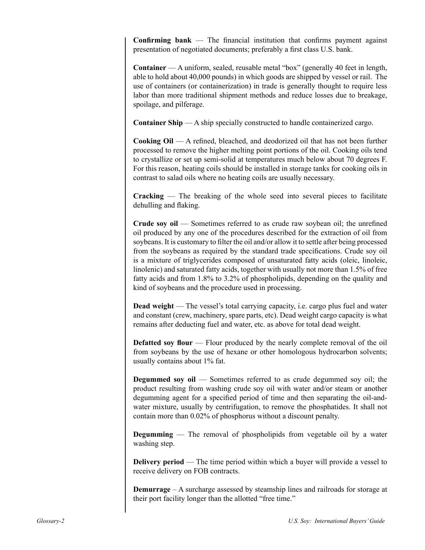**Confirming bank** — The financial institution that confirms payment against presentation of negotiated documents; preferably a first class U.S. bank.

**Container** — A uniform, sealed, reusable metal "box" (generally 40 feet in length, able to hold about 40,000 pounds) in which goods are shipped by vessel or rail. The use of containers (or containerization) in trade is generally thought to require less labor than more traditional shipment methods and reduce losses due to breakage, spoilage, and pilferage.

**Container Ship** — A ship specially constructed to handle containerized cargo.

**Cooking Oil** — A refined, bleached, and deodorized oil that has not been further processed to remove the higher melting point portions of the oil. Cooking oils tend to crystallize or set up semi-solid at temperatures much below about 70 degrees F. For this reason, heating coils should be installed in storage tanks for cooking oils in contrast to salad oils where no heating coils are usually necessary.

**Cracking** — The breaking of the whole seed into several pieces to facilitate dehulling and flaking.

**Crude soy oil** — Sometimes referred to as crude raw soybean oil; the unrefined oil produced by any one of the procedures described for the extraction of oil from soybeans. It is customary to filter the oil and/or allow it to settle after being processed from the soybeans as required by the standard trade specifications. Crude soy oil is a mixture of triglycerides composed of unsaturated fatty acids (oleic, linoleic, linolenic) and saturated fatty acids, together with usually not more than 1.5% of free fatty acids and from 1.8% to 3.2% of phospholipids, depending on the quality and kind of soybeans and the procedure used in processing.

**Dead weight** — The vessel's total carrying capacity, i.e. cargo plus fuel and water and constant (crew, machinery, spare parts, etc). Dead weight cargo capacity is what remains after deducting fuel and water, etc. as above for total dead weight.

**Defatted soy flour** — Flour produced by the nearly complete removal of the oil from soybeans by the use of hexane or other homologous hydrocarbon solvents; usually contains about 1% fat.

**Degummed soy oil** — Sometimes referred to as crude degummed soy oil; the product resulting from washing crude soy oil with water and/or steam or another degumming agent for a specified period of time and then separating the oil-andwater mixture, usually by centrifugation, to remove the phosphatides. It shall not contain more than 0.02% of phosphorus without a discount penalty.

**Degumming** — The removal of phospholipids from vegetable oil by a water washing step.

**Delivery period** — The time period within which a buyer will provide a vessel to receive delivery on FOB contracts.

**Demurrage** – A surcharge assessed by steamship lines and railroads for storage at their port facility longer than the allotted "free time."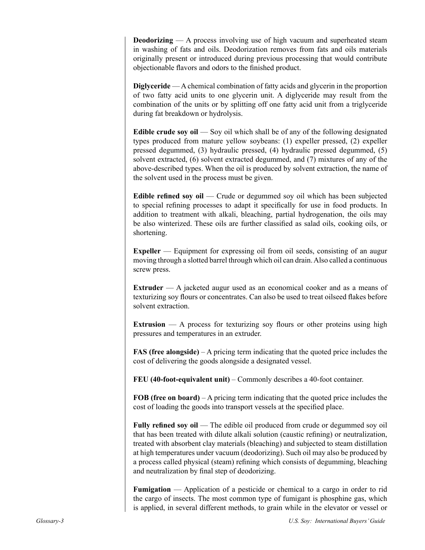**Deodorizing** — A process involving use of high vacuum and superheated steam in washing of fats and oils. Deodorization removes from fats and oils materials originally present or introduced during previous processing that would contribute objectionable flavors and odors to the finished product.

**Diglyceride** — A chemical combination of fatty acids and glycerin in the proportion of two fatty acid units to one glycerin unit. A diglyceride may result from the combination of the units or by splitting off one fatty acid unit from a triglyceride during fat breakdown or hydrolysis.

**Edible crude soy oil** — Soy oil which shall be of any of the following designated types produced from mature yellow soybeans: (1) expeller pressed, (2) expeller pressed degummed, (3) hydraulic pressed, (4) hydraulic pressed degummed, (5) solvent extracted, (6) solvent extracted degummed, and (7) mixtures of any of the above-described types. When the oil is produced by solvent extraction, the name of the solvent used in the process must be given.

**Edible refined soy oil** — Crude or degummed soy oil which has been subjected to special refining processes to adapt it specifically for use in food products. In addition to treatment with alkali, bleaching, partial hydrogenation, the oils may be also winterized. These oils are further classified as salad oils, cooking oils, or shortening.

**Expeller** — Equipment for expressing oil from oil seeds, consisting of an augur moving through a slotted barrel through which oil can drain. Also called a continuous screw press.

**Extruder** — A jacketed augur used as an economical cooker and as a means of texturizing soy flours or concentrates. Can also be used to treat oilseed flakes before solvent extraction.

**Extrusion** — A process for texturizing soy flours or other proteins using high pressures and temperatures in an extruder.

**FAS (free alongside)** – A pricing term indicating that the quoted price includes the cost of delivering the goods alongside a designated vessel.

**FEU (40-foot-equivalent unit)** – Commonly describes a 40-foot container.

**FOB (free on board)** – A pricing term indicating that the quoted price includes the cost of loading the goods into transport vessels at the specified place.

**Fully refined soy oil** — The edible oil produced from crude or degummed soy oil that has been treated with dilute alkali solution (caustic refining) or neutralization, treated with absorbent clay materials (bleaching) and subjected to steam distillation at high temperatures under vacuum (deodorizing). Such oil may also be produced by a process called physical (steam) refining which consists of degumming, bleaching and neutralization by final step of deodorizing.

**Fumigation** — Application of a pesticide or chemical to a cargo in order to rid the cargo of insects. The most common type of fumigant is phosphine gas, which is applied, in several different methods, to grain while in the elevator or vessel or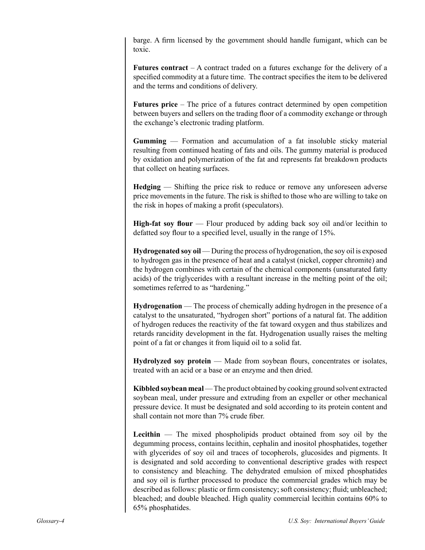barge. A firm licensed by the government should handle fumigant, which can be toxic.

**Futures contract** – A contract traded on a futures exchange for the delivery of a specified commodity at a future time. The contract specifies the item to be delivered and the terms and conditions of delivery.

**Futures price** – The price of a futures contract determined by open competition between buyers and sellers on the trading floor of a commodity exchange or through the exchange's electronic trading platform.

**Gumming** — Formation and accumulation of a fat insoluble sticky material resulting from continued heating of fats and oils. The gummy material is produced by oxidation and polymerization of the fat and represents fat breakdown products that collect on heating surfaces.

**Hedging** — Shifting the price risk to reduce or remove any unforeseen adverse price movements in the future. The risk is shifted to those who are willing to take on the risk in hopes of making a profit (speculators).

**High-fat soy flour** — Flour produced by adding back soy oil and/or lecithin to defatted soy flour to a specified level, usually in the range of 15%.

**Hydrogenated soy oil** — During the process of hydrogenation, the soy oil is exposed to hydrogen gas in the presence of heat and a catalyst (nickel, copper chromite) and the hydrogen combines with certain of the chemical components (unsaturated fatty acids) of the triglycerides with a resultant increase in the melting point of the oil; sometimes referred to as "hardening."

**Hydrogenation** — The process of chemically adding hydrogen in the presence of a catalyst to the unsaturated, "hydrogen short" portions of a natural fat. The addition of hydrogen reduces the reactivity of the fat toward oxygen and thus stabilizes and retards rancidity development in the fat. Hydrogenation usually raises the melting point of a fat or changes it from liquid oil to a solid fat.

**Hydrolyzed soy protein** — Made from soybean flours, concentrates or isolates, treated with an acid or a base or an enzyme and then dried.

**Kibbled soybean meal** — The product obtained by cooking ground solvent extracted soybean meal, under pressure and extruding from an expeller or other mechanical pressure device. It must be designated and sold according to its protein content and shall contain not more than 7% crude fiber.

**Lecithin** — The mixed phospholipids product obtained from soy oil by the degumming process, contains lecithin, cephalin and inositol phosphatides, together with glycerides of soy oil and traces of tocopherols, glucosides and pigments. It is designated and sold according to conventional descriptive grades with respect to consistency and bleaching. The dehydrated emulsion of mixed phosphatides and soy oil is further processed to produce the commercial grades which may be described as follows: plastic or firm consistency; soft consistency; fluid; unbleached; bleached; and double bleached. High quality commercial lecithin contains 60% to 65% phosphatides.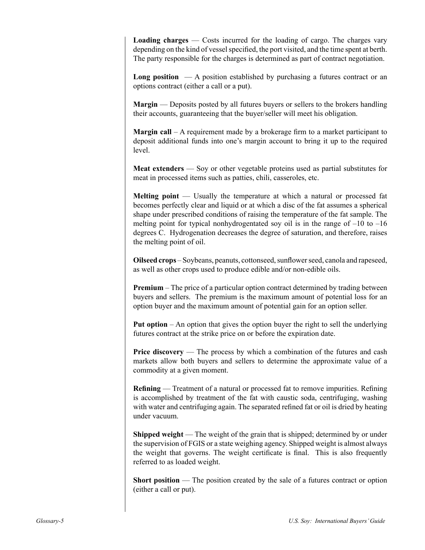**Loading charges** — Costs incurred for the loading of cargo. The charges vary depending on the kind of vessel specified, the port visited, and the time spent at berth. The party responsible for the charges is determined as part of contract negotiation.

**Long position**  $\overline{\phantom{a}}$   $\overline{\phantom{a}}$  A position established by purchasing a futures contract or an options contract (either a call or a put).

**Margin** — Deposits posted by all futures buyers or sellers to the brokers handling their accounts, guaranteeing that the buyer/seller will meet his obligation.

**Margin call** – A requirement made by a brokerage firm to a market participant to deposit additional funds into one's margin account to bring it up to the required level.

**Meat extenders** — Soy or other vegetable proteins used as partial substitutes for meat in processed items such as patties, chili, casseroles, etc.

**Melting point** — Usually the temperature at which a natural or processed fat becomes perfectly clear and liquid or at which a disc of the fat assumes a spherical shape under prescribed conditions of raising the temperature of the fat sample. The melting point for typical nonhydrogentated soy oil is in the range of  $-10$  to  $-16$ degrees C. Hydrogenation decreases the degree of saturation, and therefore, raises the melting point of oil.

**Oilseed crops** – Soybeans, peanuts, cottonseed, sunflower seed, canola and rapeseed, as well as other crops used to produce edible and/or non-edible oils.

**Premium** – The price of a particular option contract determined by trading between buyers and sellers. The premium is the maximum amount of potential loss for an option buyer and the maximum amount of potential gain for an option seller.

**Put option** – An option that gives the option buyer the right to sell the underlying futures contract at the strike price on or before the expiration date.

**Price discovery** — The process by which a combination of the futures and cash markets allow both buyers and sellers to determine the approximate value of a commodity at a given moment.

**Refining** — Treatment of a natural or processed fat to remove impurities. Refining is accomplished by treatment of the fat with caustic soda, centrifuging, washing with water and centrifuging again. The separated refined fat or oil is dried by heating under vacuum.

**Shipped weight** — The weight of the grain that is shipped; determined by or under the supervision of FGIS or a state weighing agency. Shipped weight is almost always the weight that governs. The weight certificate is final. This is also frequently referred to as loaded weight.

**Short position** — The position created by the sale of a futures contract or option (either a call or put).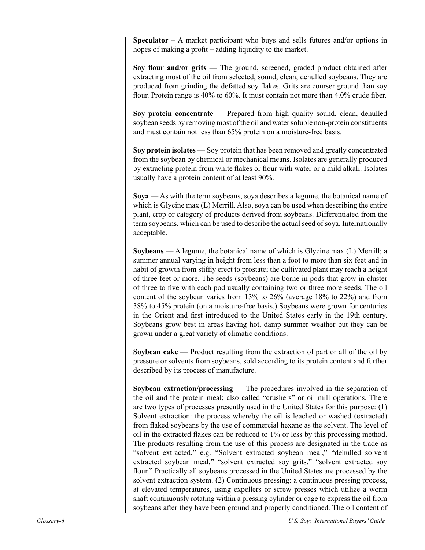**Speculator** – A market participant who buys and sells futures and/or options in hopes of making a profit – adding liquidity to the market.

**Soy flour and/or grits** — The ground, screened, graded product obtained after extracting most of the oil from selected, sound, clean, dehulled soybeans. They are produced from grinding the defatted soy flakes. Grits are courser ground than soy flour. Protein range is 40% to 60%. It must contain not more than 4.0% crude fiber.

**Soy protein concentrate** — Prepared from high quality sound, clean, dehulled soybean seeds by removing most of the oil and water soluble non-protein constituents and must contain not less than 65% protein on a moisture-free basis.

**Soy protein isolates** — Soy protein that has been removed and greatly concentrated from the soybean by chemical or mechanical means. Isolates are generally produced by extracting protein from white flakes or flour with water or a mild alkali. Isolates usually have a protein content of at least 90%.

**Soya** — As with the term soybeans, soya describes a legume, the botanical name of which is Glycine max (L) Merrill. Also, soya can be used when describing the entire plant, crop or category of products derived from soybeans. Differentiated from the term soybeans, which can be used to describe the actual seed of soya. Internationally acceptable.

**Soybeans** — A legume, the botanical name of which is Glycine max (L) Merrill; a summer annual varying in height from less than a foot to more than six feet and in habit of growth from stiffly erect to prostate; the cultivated plant may reach a height of three feet or more. The seeds (soybeans) are borne in pods that grow in cluster of three to five with each pod usually containing two or three more seeds. The oil content of the soybean varies from  $13\%$  to  $26\%$  (average  $18\%$  to  $22\%$ ) and from 38% to 45% protein (on a moisture-free basis.) Soybeans were grown for centuries in the Orient and first introduced to the United States early in the 19th century. Soybeans grow best in areas having hot, damp summer weather but they can be grown under a great variety of climatic conditions.

**Soybean cake** — Product resulting from the extraction of part or all of the oil by pressure or solvents from soybeans, sold according to its protein content and further described by its process of manufacture.

**Soybean extraction/processing** — The procedures involved in the separation of the oil and the protein meal; also called "crushers" or oil mill operations. There are two types of processes presently used in the United States for this purpose: (1) Solvent extraction: the process whereby the oil is leached or washed (extracted) from flaked soybeans by the use of commercial hexane as the solvent. The level of oil in the extracted flakes can be reduced to 1% or less by this processing method. The products resulting from the use of this process are designated in the trade as "solvent extracted," e.g. "Solvent extracted soybean meal," "dehulled solvent extracted soybean meal," "solvent extracted soy grits," "solvent extracted soy flour." Practically all soybeans processed in the United States are processed by the solvent extraction system. (2) Continuous pressing: a continuous pressing process, at elevated temperatures, using expellers or screw presses which utilize a worm shaft continuously rotating within a pressing cylinder or cage to express the oil from soybeans after they have been ground and properly conditioned. The oil content of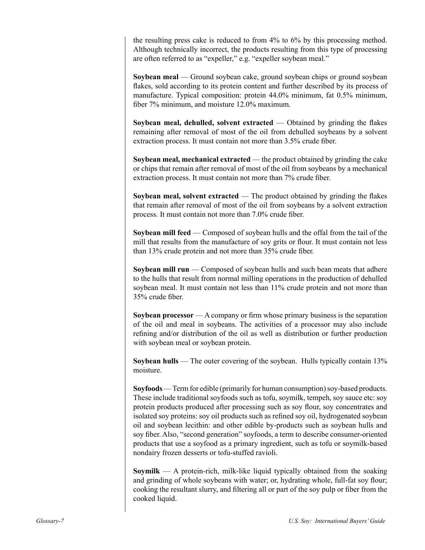the resulting press cake is reduced to from 4% to 6% by this processing method. Although technically incorrect, the products resulting from this type of processing are often referred to as "expeller," e.g. "expeller soybean meal."

**Soybean meal** — Ground soybean cake, ground soybean chips or ground soybean flakes, sold according to its protein content and further described by its process of manufacture. Typical composition: protein 44.0% minimum, fat 0.5% minimum, fiber 7% minimum, and moisture 12.0% maximum.

**Soybean meal, dehulled, solvent extracted** — Obtained by grinding the flakes remaining after removal of most of the oil from dehulled soybeans by a solvent extraction process. It must contain not more than 3.5% crude fiber.

**Soybean meal, mechanical extracted** — the product obtained by grinding the cake or chips that remain after removal of most of the oil from soybeans by a mechanical extraction process. It must contain not more than 7% crude fiber.

**Soybean meal, solvent extracted** — The product obtained by grinding the flakes that remain after removal of most of the oil from soybeans by a solvent extraction process. It must contain not more than 7.0% crude fiber.

**Soybean mill feed** — Composed of soybean hulls and the offal from the tail of the mill that results from the manufacture of soy grits or flour. It must contain not less than 13% crude protein and not more than 35% crude fiber.

**Soybean mill run** — Composed of soybean hulls and such bean meats that adhere to the hulls that result from normal milling operations in the production of dehulled soybean meal. It must contain not less than 11% crude protein and not more than 35% crude fiber.

**Soybean processor** — A company or firm whose primary business is the separation of the oil and meal in soybeans. The activities of a processor may also include refining and/or distribution of the oil as well as distribution or further production with soybean meal or soybean protein.

**Soybean hulls** — The outer covering of the soybean. Hulls typically contain 13% moisture.

**Soyfoods** — Term for edible (primarily for human consumption) soy-based products. These include traditional soyfoods such as tofu, soymilk, tempeh, soy sauce etc: soy protein products produced after processing such as soy flour, soy concentrates and isolated soy proteins: soy oil products such as refined soy oil, hydrogenated soybean oil and soybean lecithin: and other edible by-products such as soybean hulls and soy fiber. Also, "second generation" soyfoods, a term to describe consumer-oriented products that use a soyfood as a primary ingredient, such as tofu or soymilk-based nondairy frozen desserts or tofu-stuffed ravioli.

**Soymilk** — A protein-rich, milk-like liquid typically obtained from the soaking and grinding of whole soybeans with water; or, hydrating whole, full-fat soy flour; cooking the resultant slurry, and filtering all or part of the soy pulp or fiber from the cooked liquid.